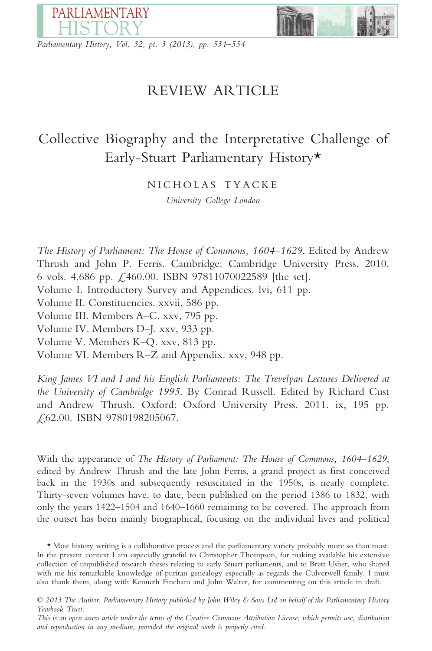



*Parliamentary History, Vol. 32, pt. 3 (2013), pp. 531–554*

## REVIEW ARTICLE

# Collective Biography and the Interpretative Challenge of Early-Stuart Parliamentary History\*

NICHOLAS TYACKE

*University College London*

*The History of Parliament: The House of Commons, 1604–1629*. Edited by Andrew Thrush and John P. Ferris. Cambridge: Cambridge University Press. 2010. 6 vols. 4,686 pp. £460.00. ISBN 97811070022589 [the set]. Volume I. Introductory Survey and Appendices. lvi, 611 pp. Volume II. Constituencies. xxvii, 586 pp. Volume III. Members A–C. xxv, 795 pp. Volume IV. Members D–J. xxv, 933 pp. Volume V. Members K–Q. xxv, 813 pp. Volume VI. Members R–Z and Appendix. xxv, 948 pp.

*King James VI and I and his English Parliaments: The Trevelyan Lectures Delivered at the University of Cambridge 1995*. By Conrad Russell. Edited by Richard Cust and Andrew Thrush. Oxford: Oxford University Press. 2011. ix, 195 pp. £62.00. ISBN 9780198205067.

With the appearance of *The History of Parliament: The House of Commons, 1604–1629*, edited by Andrew Thrush and the late John Ferris, a grand project as first conceived back in the 1930s and subsequently resuscitated in the 1950s, is nearly complete. Thirty-seven volumes have, to date, been published on the period 1386 to 1832, with only the years 1422–1504 and 1640–1660 remaining to be covered. The approach from the outset has been mainly biographical, focusing on the individual lives and political

\* Most history writing is a collaborative process and the parliamentary variety probably more so than most. In the present context I am especially grateful to Christopher Thompson, for making available his extensive collection of unpublished research theses relating to early Stuart parliaments, and to Brett Usher, who shared with me his remarkable knowledge of puritan genealogy especially as regards the Culverwell family. I must also thank them, along with Kenneth Fincham and John Walter, for commenting on this article in draft.

*© 2013 The Author. Parliamentary History published by John Wiley & Sons Ltd on behalf of the Parliamentary History Yearbook Trust.*

*This is an open access article under the terms of the Creative Commons Attribution License, which permits use, distribution and reproduction in any medium, provided the original work is properly cited.*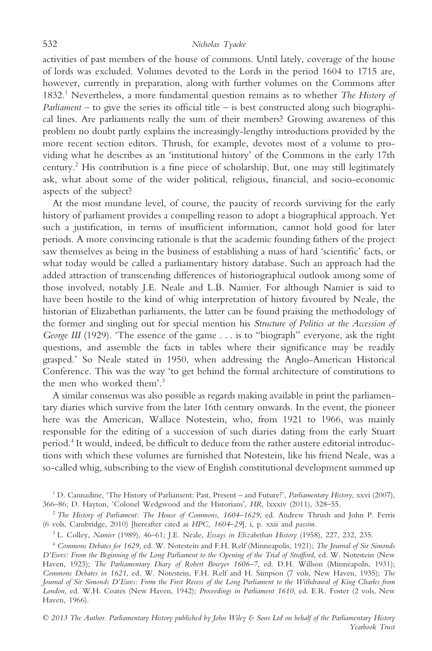### 532 *Nicholas Tyacke*

activities of past members of the house of commons. Until lately, coverage of the house of lords was excluded. Volumes devoted to the Lords in the period 1604 to 1715 are, however, currently in preparation, along with further volumes on the Commons after 1832.1 Nevertheless, a more fundamental question remains as to whether *The History of Parliament* – to give the series its official title – is best constructed along such biographical lines. Are parliaments really the sum of their members? Growing awareness of this problem no doubt partly explains the increasingly-lengthy introductions provided by the more recent section editors. Thrush, for example, devotes most of a volume to providing what he describes as an 'institutional history' of the Commons in the early 17th century.2 His contribution is a fine piece of scholarship. But, one may still legitimately ask, what about some of the wider political, religious, financial, and socio-economic aspects of the subject?

At the most mundane level, of course, the paucity of records surviving for the early history of parliament provides a compelling reason to adopt a biographical approach. Yet such a justification, in terms of insufficient information, cannot hold good for later periods. A more convincing rationale is that the academic founding fathers of the project saw themselves as being in the business of establishing a mass of hard 'scientific' facts, or what today would be called a parliamentary history database. Such an approach had the added attraction of transcending differences of historiographical outlook among some of those involved, notably J.E. Neale and L.B. Namier. For although Namier is said to have been hostile to the kind of whig interpretation of history favoured by Neale, the historian of Elizabethan parliaments, the latter can be found praising the methodology of the former and singling out for special mention his *Structure of Politics at the Accession of George III* (1929). 'The essence of the game . . . is to "biograph" everyone, ask the right questions, and assemble the facts in tables where their significance may be readily grasped.' So Neale stated in 1950, when addressing the Anglo-American Historical Conference. This was the way 'to get behind the formal architecture of constitutions to the men who worked them'.<sup>3</sup>

A similar consensus was also possible as regards making available in print the parliamentary diaries which survive from the later 16th century onwards. In the event, the pioneer here was the American, Wallace Notestein, who, from 1921 to 1966, was mainly responsible for the editing of a succession of such diaries dating from the early Stuart period.4 It would, indeed, be difficult to deduce from the rather austere editorial introductions with which these volumes are furnished that Notestein, like his friend Neale, was a so-called whig, subscribing to the view of English constitutional development summed up

<sup>1</sup> D. Cannadine, 'The History of Parliament: Past, Present – and Future?', *Parliamentary History*, xxvi (2007), 366–86; D. Hayton, 'Colonel Wedgwood and the Historians', *HR*, lxxxiv (2011), 328–55.

<sup>2</sup> *The History of Parliament: The House of Commons, 1604–1629*, ed. Andrew Thrush and John P. Ferris (6 vols, Cambridge, 2010) [hereafter cited as *HPC, 1604–29*], i, p. xxii and *passim*.

<sup>3</sup> L. Colley, *Namier* (1989), 46–61; J.E. Neale, *Essays in Elizabethan History* (1958), 227, 232, 235.

<sup>4</sup> *Commons Debates for 1629*, ed. W. Notestein and F.H. Relf (Minneapolis, 1921); *The Journal of Sir Simonds D'Ewes: From the Beginning of the Long Parliament to the Opening of the Trial of Strafford*, ed. W. Notestein (New Haven, 1923); *The Parliamentary Diary of Robert Bowyer 1606–7*, ed. D.H. Willson (Minneapolis, 1931); *Commons Debates in 1621*, ed. W. Notestein, F.H. Relf and H. Simpson (7 vols, New Haven, 1935); *The Journal of Sir Simonds D'Ewes: From the First Recess of the Long Parliament to the Withdrawal of King Charles from London*, ed. W.H. Coates (New Haven, 1942); *Proceedings in Parliament 1610*, ed. E.R. Foster (2 vols, New Haven, 1966).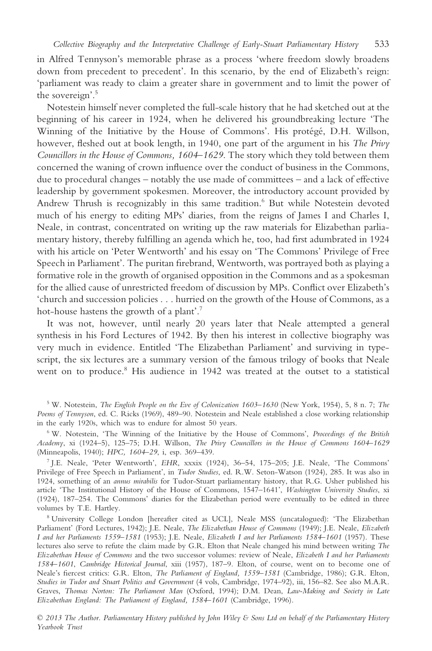in Alfred Tennyson's memorable phrase as a process 'where freedom slowly broadens down from precedent to precedent'. In this scenario, by the end of Elizabeth's reign: 'parliament was ready to claim a greater share in government and to limit the power of the sovereign'.5

Notestein himself never completed the full-scale history that he had sketched out at the beginning of his career in 1924, when he delivered his groundbreaking lecture 'The Winning of the Initiative by the House of Commons'. His protégé, D.H. Willson, however, fleshed out at book length, in 1940, one part of the argument in his *The Privy Councillors in the House of Commons, 1604–1629*. The story which they told between them concerned the waning of crown influence over the conduct of business in the Commons, due to procedural changes – notably the use made of committees – and a lack of effective leadership by government spokesmen. Moreover, the introductory account provided by Andrew Thrush is recognizably in this same tradition.<sup>6</sup> But while Notestein devoted much of his energy to editing MPs' diaries, from the reigns of James I and Charles I, Neale, in contrast, concentrated on writing up the raw materials for Elizabethan parliamentary history, thereby fulfilling an agenda which he, too, had first adumbrated in 1924 with his article on 'Peter Wentworth' and his essay on 'The Commons' Privilege of Free Speech in Parliament'. The puritan firebrand, Wentworth, was portrayed both as playing a formative role in the growth of organised opposition in the Commons and as a spokesman for the allied cause of unrestricted freedom of discussion by MPs. Conflict over Elizabeth's 'church and succession policies . . . hurried on the growth of the House of Commons, as a hot-house hastens the growth of a plant'.<sup>7</sup>

It was not, however, until nearly 20 years later that Neale attempted a general synthesis in his Ford Lectures of 1942. By then his interest in collective biography was very much in evidence. Entitled 'The Elizabethan Parliament' and surviving in typescript, the six lectures are a summary version of the famous trilogy of books that Neale went on to produce.<sup>8</sup> His audience in 1942 was treated at the outset to a statistical

<sup>5</sup> W. Notestein, *The English People on the Eve of Colonization 1603–1630* (New York, 1954), 5, 8 n. 7; *The Poems of Tennyson*, ed. C. Ricks (1969), 489–90. Notestein and Neale established a close working relationship in the early 1920s, which was to endure for almost 50 years.

<sup>6</sup> W. Notestein, 'The Winning of the Initiative by the House of Commons', *Proceedings of the British Academy*, xi (1924–5), 125–75; D.H. Willson, *The Privy Councillors in the House of Commons 1604–1629* (Minneapolis, 1940); *HPC, 1604–29*, i, esp. 369–439.

<sup>7</sup> J.E. Neale, 'Peter Wentworth', *EHR*, xxxix (1924), 36–54, 175–205; J.E. Neale, 'The Commons' Privilege of Free Speech in Parliament', in *Tudor Studies*, ed. R.W. Seton-Watson (1924), 285. It was also in 1924, something of an *annus mirabilis* for Tudor-Stuart parliamentary history, that R.G. Usher published his article 'The Institutional History of the House of Commons, 1547–1641', *Washington University Studies*, xi (1924), 187–254. The Commons' diaries for the Elizabethan period were eventually to be edited in three volumes by T.E. Hartley.

<sup>8</sup> University College London [hereafter cited as UCL], Neale MSS (uncatalogued): 'The Elizabethan Parliament' (Ford Lectures, 1942); J.E. Neale, *The Elizabethan House of Commons* (1949); J.E. Neale, *Elizabeth I and her Parliaments 1559–1581* (1953); J.E. Neale, *Elizabeth I and her Parliaments 1584–1601* (1957). These lectures also serve to refute the claim made by G.R. Elton that Neale changed his mind between writing *The Elizabethan House of Commons* and the two successor volumes: review of Neale, *Elizabeth I and her Parliaments 1584–1601*, *Cambridge Historical Journal*, xiii (1957), 187–9*.* Elton, of course, went on to become one of Neale's fiercest critics: G.R. Elton, *The Parliament of England, 1559–1581* (Cambridge, 1986); G.R. Elton, *Studies in Tudor and Stuart Politics and Government* (4 vols, Cambridge, 1974–92), iii, 156–82. See also M.A.R. Graves, *Thomas Norton: The Parliament Man* (Oxford, 1994); D.M. Dean, *Law-Making and Society in Late Elizabethan England: The Parliament of England, 1584–1601* (Cambridge, 1996).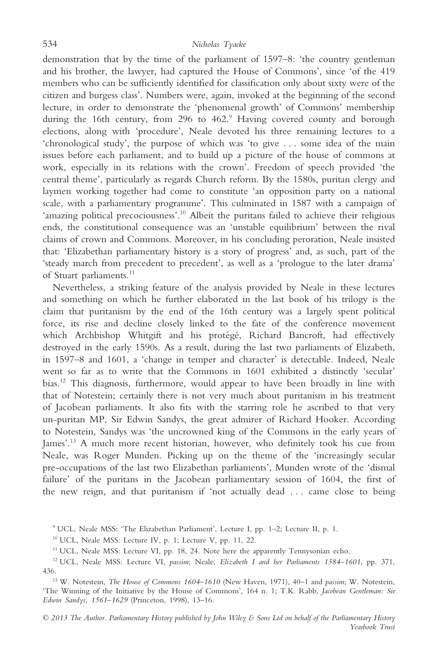demonstration that by the time of the parliament of 1597–8: 'the country gentleman and his brother, the lawyer, had captured the House of Commons', since 'of the 419 members who can be sufficiently identified for classification only about sixty were of the citizen and burgess class'. Numbers were, again, invoked at the beginning of the second lecture, in order to demonstrate the 'phenomenal growth' of Commons' membership during the 16th century, from 296 to 462.<sup>9</sup> Having covered county and borough elections, along with 'procedure', Neale devoted his three remaining lectures to a 'chronological study', the purpose of which was 'to give . . . some idea of the main issues before each parliament, and to build up a picture of the house of commons at work, especially in its relations with the crown'. Freedom of speech provided 'the central theme', particularly as regards Church reform. By the 1580s, puritan clergy and laymen working together had come to constitute 'an opposition party on a national scale, with a parliamentary programme'. This culminated in 1587 with a campaign of 'amazing political precociousness'.<sup>10</sup> Albeit the puritans failed to achieve their religious ends, the constitutional consequence was an 'unstable equilibrium' between the rival claims of crown and Commons. Moreover, in his concluding peroration, Neale insisted that: 'Elizabethan parliamentary history is a story of progress' and, as such, part of the 'steady march from precedent to precedent', as well as a 'prologue to the later drama' of Stuart parliaments.<sup>11</sup>

Nevertheless, a striking feature of the analysis provided by Neale in these lectures and something on which he further elaborated in the last book of his trilogy is the claim that puritanism by the end of the 16th century was a largely spent political force, its rise and decline closely linked to the fate of the conference movement which Archbishop Whitgift and his protégé, Richard Bancroft, had effectively destroyed in the early 1590s. As a result, during the last two parliaments of Elizabeth, in 1597–8 and 1601, a 'change in temper and character' is detectable. Indeed, Neale went so far as to write that the Commons in 1601 exhibited a distinctly 'secular' bias.12 This diagnosis, furthermore, would appear to have been broadly in line with that of Notestein; certainly there is not very much about puritanism in his treatment of Jacobean parliaments. It also fits with the starring role he ascribed to that very un-puritan MP, Sir Edwin Sandys, the great admirer of Richard Hooker. According to Notestein, Sandys was 'the uncrowned king of the Commons in the early years of James'.13 A much more recent historian, however, who definitely took his cue from Neale, was Roger Munden. Picking up on the theme of the 'increasingly secular pre-occupations of the last two Elizabethan parliaments', Munden wrote of the 'dismal failure' of the puritans in the Jacobean parliamentary session of 1604, the first of the new reign, and that puritanism if 'not actually dead . . . came close to being

<sup>9</sup> UCL, Neale MSS: 'The Elizabethan Parliament', Lecture I, pp. 1–2; Lecture II, p. 1.

<sup>10</sup> UCL, Neale MSS: Lecture IV, p. 1; Lecture V, pp. 11, 22.

<sup>11</sup> UCL, Neale MSS: Lecture VI, pp. 18, 24. Note here the apparently Tennysonian echo.

<sup>12</sup> UCL, Neale MSS: Lecture VI, *passim*; Neale, *Elizabeth I and her Parliaments 1584–1601*, pp. 371, 436.13 W. Notestein, *The House of Commons 1604–1610* (New Haven, 1971), 40–1 and *passim*; W. Notestein,

'The Winning of the Initiative by the House of Commons', 164 n. 1; T.K. Rabb, *Jacobean Gentleman: Sir Edwin Sandys, 1561–1629* (Princeton, 1998), 13–16.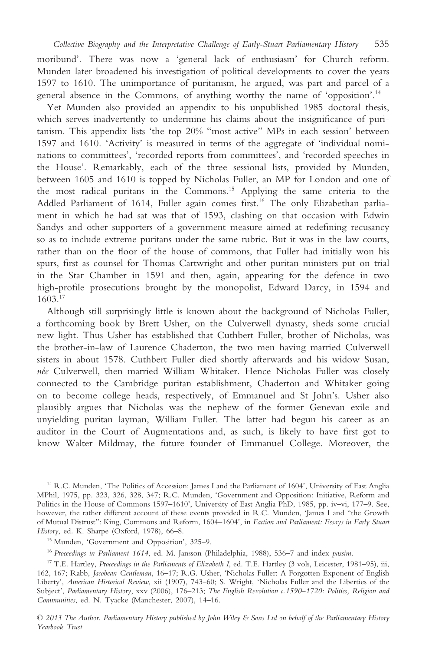moribund'. There was now a 'general lack of enthusiasm' for Church reform. Munden later broadened his investigation of political developments to cover the years 1597 to 1610. The unimportance of puritanism, he argued, was part and parcel of a general absence in the Commons, of anything worthy the name of 'opposition'.14

Yet Munden also provided an appendix to his unpublished 1985 doctoral thesis, which serves inadvertently to undermine his claims about the insignificance of puritanism. This appendix lists 'the top 20% "most active" MPs in each session' between 1597 and 1610. 'Activity' is measured in terms of the aggregate of 'individual nominations to committees', 'recorded reports from committees', and 'recorded speeches in the House'. Remarkably, each of the three sessional lists, provided by Munden, between 1605 and 1610 is topped by Nicholas Fuller, an MP for London and one of the most radical puritans in the Commons.15 Applying the same criteria to the Addled Parliament of 1614, Fuller again comes first.<sup>16</sup> The only Elizabethan parliament in which he had sat was that of 1593, clashing on that occasion with Edwin Sandys and other supporters of a government measure aimed at redefining recusancy so as to include extreme puritans under the same rubric. But it was in the law courts, rather than on the floor of the house of commons, that Fuller had initially won his spurs, first as counsel for Thomas Cartwright and other puritan ministers put on trial in the Star Chamber in 1591 and then, again, appearing for the defence in two high-profile prosecutions brought by the monopolist, Edward Darcy, in 1594 and 1603.17

Although still surprisingly little is known about the background of Nicholas Fuller, a forthcoming book by Brett Usher, on the Culverwell dynasty, sheds some crucial new light. Thus Usher has established that Cuthbert Fuller, brother of Nicholas, was the brother-in-law of Laurence Chaderton, the two men having married Culverwell sisters in about 1578. Cuthbert Fuller died shortly afterwards and his widow Susan, *née* Culverwell, then married William Whitaker. Hence Nicholas Fuller was closely connected to the Cambridge puritan establishment, Chaderton and Whitaker going on to become college heads, respectively, of Emmanuel and St John's. Usher also plausibly argues that Nicholas was the nephew of the former Genevan exile and unyielding puritan layman, William Fuller. The latter had begun his career as an auditor in the Court of Augmentations and, as such, is likely to have first got to know Walter Mildmay, the future founder of Emmanuel College. Moreover, the

<sup>14</sup> R.C. Munden, 'The Politics of Accession: James I and the Parliament of 1604', University of East Anglia MPhil, 1975, pp. 323, 326, 328, 347; R.C. Munden, 'Government and Opposition: Initiative, Reform and Politics in the House of Commons 1597–1610', University of East Anglia PhD, 1985, pp. iv–vi, 177–9. See, however, the rather different account of these events provided in R.C. Munden, 'James I and "the Growth of Mutual Distrust": King, Commons and Reform, 1604–1604', in *Faction and Parliament: Essays in Early Stuart History*, ed*.* K. Sharpe (Oxford, 1978), 66–8.

<sup>15</sup> Munden, 'Government and Opposition', 325–9.

<sup>16</sup> *Proceedings in Parliament 1614*, ed. M. Jansson (Philadelphia, 1988), 536–7 and index *passim*.

<sup>17</sup> T.E. Hartley, *Proceedings in the Parliaments of Elizabeth I*, ed. T.E. Hartley (3 vols, Leicester, 1981–95), iii, 162, 167; Rabb, *Jacobean Gentleman*, 16–17; R.G. Usher, 'Nicholas Fuller: A Forgotten Exponent of English Liberty', *American Historical Review*, xii (1907), 743–60; S. Wright, 'Nicholas Fuller and the Liberties of the Subject', *Parliamentary History*, xxv (2006), 176–213; *The English Revolution c.1590–1720: Politics, Religion and Communities*, ed. N. Tyacke (Manchester, 2007), 14–16.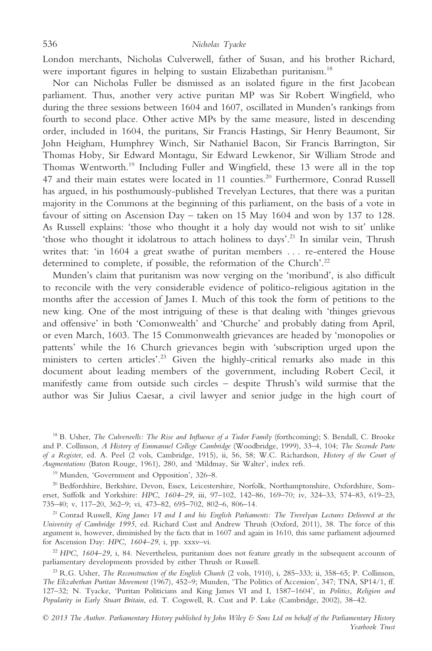London merchants, Nicholas Culverwell, father of Susan, and his brother Richard, were important figures in helping to sustain Elizabethan puritanism.<sup>18</sup>

Nor can Nicholas Fuller be dismissed as an isolated figure in the first Jacobean parliament. Thus, another very active puritan MP was Sir Robert Wingfield, who during the three sessions between 1604 and 1607, oscillated in Munden's rankings from fourth to second place. Other active MPs by the same measure, listed in descending order, included in 1604, the puritans, Sir Francis Hastings, Sir Henry Beaumont, Sir John Heigham, Humphrey Winch, Sir Nathaniel Bacon, Sir Francis Barrington, Sir Thomas Hoby, Sir Edward Montagu, Sir Edward Lewkenor, Sir William Strode and Thomas Wentworth.19 Including Fuller and Wingfield, these 13 were all in the top 47 and their main estates were located in 11 counties.<sup>20</sup> Furthermore, Conrad Russell has argued, in his posthumously-published Trevelyan Lectures, that there was a puritan majority in the Commons at the beginning of this parliament, on the basis of a vote in favour of sitting on Ascension Day – taken on 15 May 1604 and won by 137 to 128. As Russell explains: 'those who thought it a holy day would not wish to sit' unlike 'those who thought it idolatrous to attach holiness to days'.<sup>21</sup> In similar vein, Thrush writes that: 'in 1604 a great swathe of puritan members . . . re-entered the House determined to complete, if possible, the reformation of the Church'.<sup>22</sup>

Munden's claim that puritanism was now verging on the 'moribund', is also difficult to reconcile with the very considerable evidence of politico-religious agitation in the months after the accession of James I. Much of this took the form of petitions to the new king. One of the most intriguing of these is that dealing with 'thinges grievous and offensive' in both 'Comonwealth' and 'Churche' and probably dating from April, or even March, 1603. The 15 Commonwealth grievances are headed by 'monopolies or pattents' while the 16 Church grievances begin with 'subscription urged upon the ministers to certen articles'.<sup>23</sup> Given the highly-critical remarks also made in this document about leading members of the government, including Robert Cecil, it manifestly came from outside such circles – despite Thrush's wild surmise that the author was Sir Julius Caesar, a civil lawyer and senior judge in the high court of

<sup>18</sup> B. Usher, *The Culverwells: The Rise and Influence of a Tudor Family* (forthcoming); S. Bendall, C. Brooke and P. Collinson, *A History of Emmanuel College Cambridge* (Woodbridge, 1999), 33–4, 104; *The Seconde Parte of a Register*, ed. A. Peel (2 vols, Cambridge, 1915), ii, 56, 58; W.C. Richardson, *History of the Court of Augmentations* (Baton Rouge, 1961), 280, and 'Mildmay, Sir Walter', index refs*.*

<sup>19</sup> Munden, 'Government and Opposition', 326–8.

<sup>20</sup> Bedfordshire, Berkshire, Devon, Essex, Leicestershire, Norfolk, Northamptonshire, Oxfordshire, Somerset, Suffolk and Yorkshire: *HPC, 1604–29*, iii, 97–102, 142–86, 169–70; iv, 324–33, 574–83, 619–23, 735–40; v, 117–20, 362–9; vi, 473–82, 695–702, 802–6, 806–14.

<sup>21</sup> Conrad Russell, *King James VI and I and his English Parliaments: The Trevelyan Lectures Delivered at the University of Cambridge 1995*, ed. Richard Cust and Andrew Thrush (Oxford, 2011), 38. The force of this argument is, however, diminished by the facts that in 1607 and again in 1610, this same parliament adjourned for Ascension Day: *HPC, 1604–29*, i, pp. xxxv–vi.

<sup>22</sup> *HPC, 1604–29*, i, 84. Nevertheless, puritanism does not feature greatly in the subsequent accounts of parliamentary developments provided by either Thrush or Russell.

<sup>23</sup> R.G. Usher, *The Reconstruction of the English Church* (2 vols, 1910), i, 285–333; ii, 358–65; P. Collinson, *The Elizabethan Puritan Movement* (1967), 452–9; Munden, 'The Politics of Accession', 347; TNA, SP14/1, ff. 127–32; N. Tyacke, 'Puritan Politicians and King James VI and I, 1587–1604', in *Politics, Religion and Popularity in Early Stuart Britain*, ed. T. Cogswell, R. Cust and P. Lake (Cambridge, 2002), 38–42.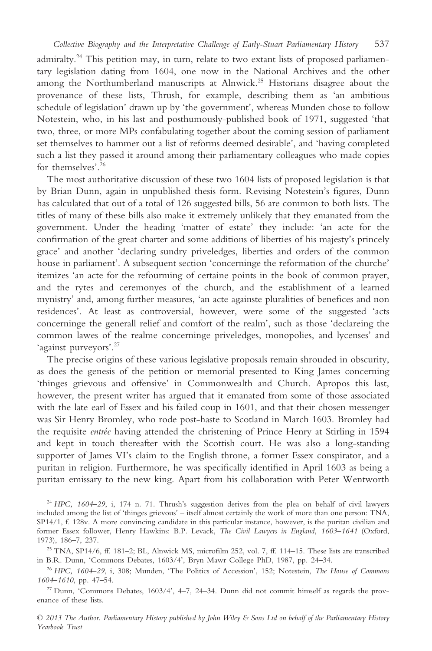admiralty. $24$  This petition may, in turn, relate to two extant lists of proposed parliamentary legislation dating from 1604, one now in the National Archives and the other among the Northumberland manuscripts at Alnwick.<sup>25</sup> Historians disagree about the provenance of these lists, Thrush, for example, describing them as 'an ambitious schedule of legislation' drawn up by 'the government', whereas Munden chose to follow Notestein, who, in his last and posthumously-published book of 1971, suggested 'that two, three, or more MPs confabulating together about the coming session of parliament set themselves to hammer out a list of reforms deemed desirable', and 'having completed such a list they passed it around among their parliamentary colleagues who made copies for themselves'.<sup>26</sup>

The most authoritative discussion of these two 1604 lists of proposed legislation is that by Brian Dunn, again in unpublished thesis form. Revising Notestein's figures, Dunn has calculated that out of a total of 126 suggested bills, 56 are common to both lists. The titles of many of these bills also make it extremely unlikely that they emanated from the government. Under the heading 'matter of estate' they include: 'an acte for the confirmation of the great charter and some additions of liberties of his majesty's princely grace' and another 'declaring sundry priveledges, liberties and orders of the common house in parliament'. A subsequent section 'concerninge the reformation of the churche' itemizes 'an acte for the refourming of certaine points in the book of common prayer, and the rytes and ceremonyes of the church, and the establishment of a learned mynistry' and, among further measures, 'an acte againste pluralities of benefices and non residences'. At least as controversial, however, were some of the suggested 'acts concerninge the generall relief and comfort of the realm', such as those 'declareing the common lawes of the realme concerninge priveledges, monopolies, and lycenses' and 'against purveyors'.<sup>27</sup>

The precise origins of these various legislative proposals remain shrouded in obscurity, as does the genesis of the petition or memorial presented to King James concerning 'thinges grievous and offensive' in Commonwealth and Church. Apropos this last, however, the present writer has argued that it emanated from some of those associated with the late earl of Essex and his failed coup in 1601, and that their chosen messenger was Sir Henry Bromley, who rode post-haste to Scotland in March 1603. Bromley had the requisite *entrée* having attended the christening of Prince Henry at Stirling in 1594 and kept in touch thereafter with the Scottish court. He was also a long-standing supporter of James VI's claim to the English throne, a former Essex conspirator, and a puritan in religion. Furthermore, he was specifically identified in April 1603 as being a puritan emissary to the new king. Apart from his collaboration with Peter Wentworth

<sup>24</sup> *HPC, 1604–29*, i, 174 n. 71. Thrush's suggestion derives from the plea on behalf of civil lawyers included among the list of 'thinges grievous' – itself almost certainly the work of more than one person: TNA, SP14/1, f. 128v. A more convincing candidate in this particular instance, however, is the puritan civilian and former Essex follower, Henry Hawkins: B.P. Levack, *The Civil Lawyers in England, 1603–1641* (Oxford, 1973), 186–7, 237.

<sup>25</sup> TNA, SP14/6, ff. 181–2; BL, Alnwick MS, microfilm 252, vol. 7, ff. 114–15. These lists are transcribed in B.R. Dunn, 'Commons Debates, 1603/4', Bryn Mawr College PhD, 1987, pp. 24–34.

<sup>26</sup> *HPC, 1604–29*, i, 308; Munden, 'The Politics of Accession', 152; Notestein, *The House of Commons 1604–1610*, pp. 47–54.

<sup>27</sup> Dunn, 'Commons Debates, 1603/4', 4–7, 24–34. Dunn did not commit himself as regards the provenance of these lists.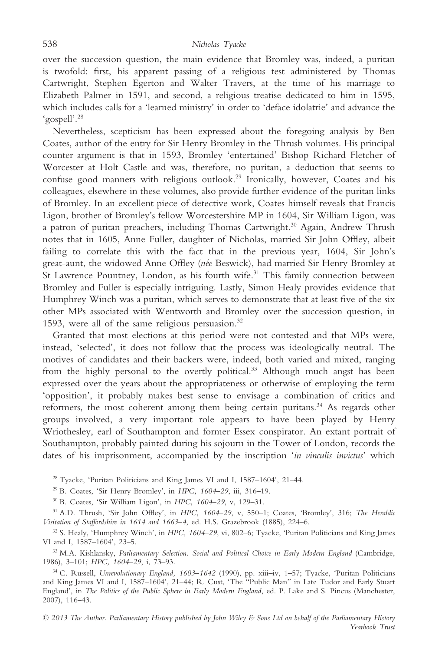### 538 *Nicholas Tyacke*

over the succession question, the main evidence that Bromley was, indeed, a puritan is twofold: first, his apparent passing of a religious test administered by Thomas Cartwright, Stephen Egerton and Walter Travers, at the time of his marriage to Elizabeth Palmer in 1591, and second, a religious treatise dedicated to him in 1595, which includes calls for a 'learned ministry' in order to 'deface idolatrie' and advance the 'gospell'.28

Nevertheless, scepticism has been expressed about the foregoing analysis by Ben Coates, author of the entry for Sir Henry Bromley in the Thrush volumes. His principal counter-argument is that in 1593, Bromley 'entertained' Bishop Richard Fletcher of Worcester at Holt Castle and was, therefore, no puritan, a deduction that seems to confuse good manners with religious outlook.<sup>29</sup> Ironically, however, Coates and his colleagues, elsewhere in these volumes, also provide further evidence of the puritan links of Bromley. In an excellent piece of detective work, Coates himself reveals that Francis Ligon, brother of Bromley's fellow Worcestershire MP in 1604, Sir William Ligon, was a patron of puritan preachers, including Thomas Cartwright.<sup>30</sup> Again, Andrew Thrush notes that in 1605, Anne Fuller, daughter of Nicholas, married Sir John Offley, albeit failing to correlate this with the fact that in the previous year, 1604, Sir John's great-aunt, the widowed Anne Offley (*née* Beswick), had married Sir Henry Bromley at St Lawrence Pountney, London, as his fourth wife.<sup>31</sup> This family connection between Bromley and Fuller is especially intriguing. Lastly, Simon Healy provides evidence that Humphrey Winch was a puritan, which serves to demonstrate that at least five of the six other MPs associated with Wentworth and Bromley over the succession question, in 1593, were all of the same religious persuasion.<sup>32</sup>

Granted that most elections at this period were not contested and that MPs were, instead, 'selected', it does not follow that the process was ideologically neutral. The motives of candidates and their backers were, indeed, both varied and mixed, ranging from the highly personal to the overtly political.<sup>33</sup> Although much angst has been expressed over the years about the appropriateness or otherwise of employing the term 'opposition', it probably makes best sense to envisage a combination of critics and reformers, the most coherent among them being certain puritans.34 As regards other groups involved, a very important role appears to have been played by Henry Wriothesley, earl of Southampton and former Essex conspirator. An extant portrait of Southampton, probably painted during his sojourn in the Tower of London, records the dates of his imprisonment, accompanied by the inscription '*in vinculis invictus*' which

<sup>28</sup> Tyacke, 'Puritan Politicians and King James VI and I, 1587-1604', 21-44.

<sup>29</sup> B. Coates, 'Sir Henry Bromley', in *HPC, 1604–29*, iii, 316–19.

<sup>30</sup> B. Coates, 'Sir William Ligon', in *HPC, 1604–29*, v, 129–31.

<sup>31</sup> A.D. Thrush, 'Sir John Offley', in *HPC, 1604–29*, v, 550–1; Coates, 'Bromley', 316; *The Heraldic Visitation of Staffordshire in 1614 and 1663–4*, ed. H.S. Grazebrook (1885), 224–6.

<sup>32</sup> S. Healy, 'Humphrey Winch', in *HPC, 1604–29*, vi, 802–6; Tyacke, 'Puritan Politicians and King James VI and I, 1587–1604', 23–5.

<sup>33</sup> M.A. Kishlansky, *Parliamentary Selection. Social and Political Choice in Early Modern England* (Cambridge, 1986), 3–101; *HPC, 1604–29*, i, 73–93.

<sup>34</sup> C. Russell, *Unrevolutionary England, 1603–1642* (1990), pp. xiii–iv, 1–57; Tyacke, 'Puritan Politicians and King James VI and I, 1587–1604', 21–44; R. Cust, 'The "Public Man" in Late Tudor and Early Stuart England', in *The Politics of the Public Sphere in Early Modern England*, ed. P. Lake and S. Pincus (Manchester, 2007), 116–43.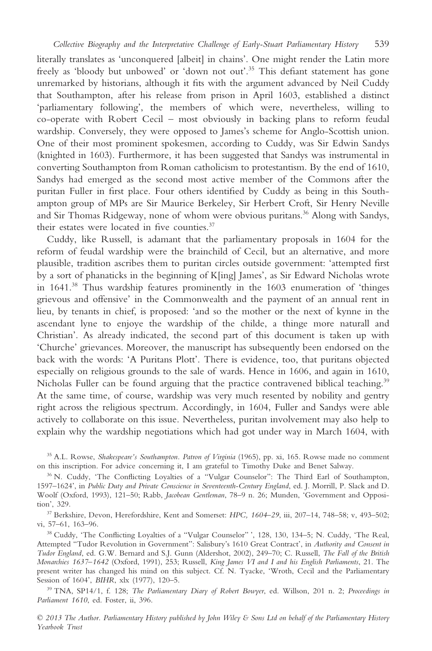literally translates as 'unconquered [albeit] in chains'. One might render the Latin more freely as 'bloody but unbowed' or 'down not out'.<sup>35</sup> This defiant statement has gone unremarked by historians, although it fits with the argument advanced by Neil Cuddy that Southampton, after his release from prison in April 1603, established a distinct 'parliamentary following', the members of which were, nevertheless, willing to co-operate with Robert Cecil – most obviously in backing plans to reform feudal wardship. Conversely, they were opposed to James's scheme for Anglo-Scottish union. One of their most prominent spokesmen, according to Cuddy, was Sir Edwin Sandys (knighted in 1603). Furthermore, it has been suggested that Sandys was instrumental in converting Southampton from Roman catholicism to protestantism. By the end of 1610, Sandys had emerged as the second most active member of the Commons after the puritan Fuller in first place. Four others identified by Cuddy as being in this Southampton group of MPs are Sir Maurice Berkeley, Sir Herbert Croft, Sir Henry Neville and Sir Thomas Ridgeway, none of whom were obvious puritans.36 Along with Sandys, their estates were located in five counties.37

Cuddy, like Russell, is adamant that the parliamentary proposals in 1604 for the reform of feudal wardship were the brainchild of Cecil, but an alternative, and more plausible, tradition ascribes them to puritan circles outside government: 'attempted first by a sort of phanaticks in the beginning of K[ing] James', as Sir Edward Nicholas wrote in 1641.38 Thus wardship features prominently in the 1603 enumeration of 'thinges grievous and offensive' in the Commonwealth and the payment of an annual rent in lieu, by tenants in chief, is proposed: 'and so the mother or the next of kynne in the ascendant lyne to enjoye the wardship of the childe, a thinge more naturall and Christian'. As already indicated, the second part of this document is taken up with 'Churche' grievances. Moreover, the manuscript has subsequently been endorsed on the back with the words: 'A Puritans Plott'. There is evidence, too, that puritans objected especially on religious grounds to the sale of wards. Hence in 1606, and again in 1610, Nicholas Fuller can be found arguing that the practice contravened biblical teaching.<sup>39</sup> At the same time, of course, wardship was very much resented by nobility and gentry right across the religious spectrum. Accordingly, in 1604, Fuller and Sandys were able actively to collaborate on this issue. Nevertheless, puritan involvement may also help to explain why the wardship negotiations which had got under way in March 1604, with

<sup>39</sup> TNA, SP14/1, f. 128; *The Parliamentary Diary of Robert Bowyer*, ed. Willson, 201 n. 2; *Proceedings in Parliament 1610*, ed. Foster, ii, 396.

<sup>35</sup> A.L. Rowse, *Shakespeare's Southampton. Patron of Virginia* (1965), pp. xi, 165. Rowse made no comment on this inscription. For advice concerning it, I am grateful to Timothy Duke and Benet Salway.

<sup>36</sup> N. Cuddy, 'The Conflicting Loyalties of a "Vulgar Counselor": The Third Earl of Southampton, 1597–1624', in *Public Duty and Private Conscience in Seventeenth-Century England*, ed. J. Morrill, P. Slack and D. Woolf (Oxford, 1993), 121–50; Rabb, *Jacobean Gentleman*, 78–9 n. 26; Munden, 'Government and Opposition', 329.

<sup>37</sup> Berkshire, Devon, Herefordshire, Kent and Somerset: *HPC, 1604–29*, iii, 207–14, 748–58; v, 493–502; vi, 57–61, 163–96.

<sup>38</sup> Cuddy, 'The Conflicting Loyalties of a "Vulgar Counselor" ', 128, 130, 134–5; N. Cuddy, 'The Real, Attempted "Tudor Revolution in Government": Salisbury's 1610 Great Contract', in *Authority and Consent in Tudor England*, ed. G.W. Bernard and S.J. Gunn (Aldershot, 2002), 249–70; C. Russell, *The Fall of the British Monarchies 1637–1642* (Oxford, 1991), 253; Russell, *King James VI and I and his English Parliaments*, 21. The present writer has changed his mind on this subject. Cf. N. Tyacke, 'Wroth, Cecil and the Parliamentary Session of 1604', *BIHR*, xlx (1977), 120–5.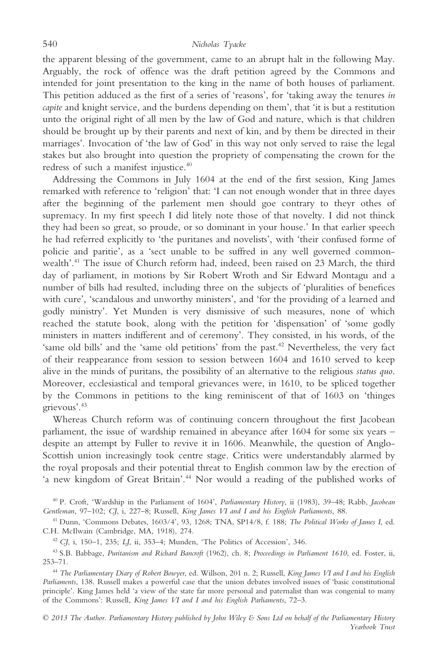#### 540 *Nicholas Tyacke*

the apparent blessing of the government, came to an abrupt halt in the following May. Arguably, the rock of offence was the draft petition agreed by the Commons and intended for joint presentation to the king in the name of both houses of parliament. This petition adduced as the first of a series of 'reasons', for 'taking away the tenures *in capite* and knight service, and the burdens depending on them', that 'it is but a restitution unto the original right of all men by the law of God and nature, which is that children should be brought up by their parents and next of kin, and by them be directed in their marriages'. Invocation of 'the law of God' in this way not only served to raise the legal stakes but also brought into question the propriety of compensating the crown for the redress of such a manifest injustice.<sup>40</sup>

Addressing the Commons in July 1604 at the end of the first session, King James remarked with reference to 'religion' that: 'I can not enough wonder that in three dayes after the beginning of the parlement men should goe contrary to theyr othes of supremacy. In my first speech I did litely note those of that novelty. I did not thinck they had been so great, so proude, or so dominant in your house.' In that earlier speech he had referred explicitly to 'the puritanes and novelists', with 'their confused forme of policie and paritie', as a 'sect unable to be suffred in any well governed commonwealth'.41 The issue of Church reform had, indeed, been raised on 23 March, the third day of parliament, in motions by Sir Robert Wroth and Sir Edward Montagu and a number of bills had resulted, including three on the subjects of 'pluralities of benefices with cure', 'scandalous and unworthy ministers', and 'for the providing of a learned and godly ministry'. Yet Munden is very dismissive of such measures, none of which reached the statute book, along with the petition for 'dispensation' of 'some godly ministers in matters indifferent and of ceremony'. They consisted, in his words, of the 'same old bills' and the 'same old petitions' from the past.<sup>42</sup> Nevertheless, the very fact of their reappearance from session to session between 1604 and 1610 served to keep alive in the minds of puritans, the possibility of an alternative to the religious *status quo*. Moreover, ecclesiastical and temporal grievances were, in 1610, to be spliced together by the Commons in petitions to the king reminiscent of that of 1603 on 'thinges grievous'.43

Whereas Church reform was of continuing concern throughout the first Jacobean parliament, the issue of wardship remained in abeyance after 1604 for some six years – despite an attempt by Fuller to revive it in 1606. Meanwhile, the question of Anglo-Scottish union increasingly took centre stage. Critics were understandably alarmed by the royal proposals and their potential threat to English common law by the erection of 'a new kingdom of Great Britain'.<sup>44</sup> Nor would a reading of the published works of

<sup>40</sup> P. Croft, 'Wardship in the Parliament of 1604', *Parliamentary History*, ii (1983), 39–48; Rabb, *Jacobean Gentleman*, 97–102; *CJ*, i, 227–8; Russell, *King James VI and I and his English Parliaments*, 88.

<sup>41</sup> Dunn, 'Commons Debates, 1603/4', 93, 1268; TNA, SP14/8, f. 188; *The Political Works of James I*, ed. C.H. McIlwain (Cambridge, MA, 1918), 274.

<sup>42</sup> *CJ*, i, 150–1, 235; *LJ*, ii, 353–4; Munden, 'The Politics of Accession', 346.

<sup>43</sup> S.B. Babbage, *Puritanism and Richard Bancroft* (1962), ch. 8; *Proceedings in Parliament 1610*, ed. Foster, ii, 253–71.

<sup>44</sup> *The Parliamentary Diary of Robert Bowyer*, ed. Willson, 201 n. 2; Russell, *King James VI and I and his English Parliaments*, 138. Russell makes a powerful case that the union debates involved issues of 'basic constitutional principle'. King James held 'a view of the state far more personal and paternalist than was congenial to many of the Commons': Russell, *King James VI and I and his English Parliaments*, 72–3.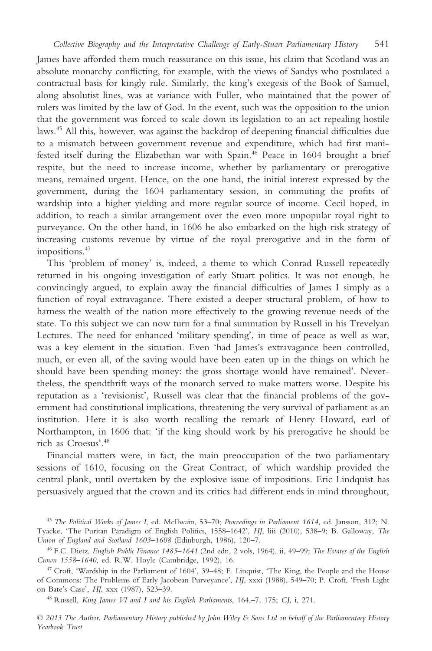James have afforded them much reassurance on this issue, his claim that Scotland was an absolute monarchy conflicting, for example, with the views of Sandys who postulated a contractual basis for kingly rule. Similarly, the king's exegesis of the Book of Samuel, along absolutist lines, was at variance with Fuller, who maintained that the power of rulers was limited by the law of God. In the event, such was the opposition to the union that the government was forced to scale down its legislation to an act repealing hostile laws.<sup>45</sup> All this, however, was against the backdrop of deepening financial difficulties due to a mismatch between government revenue and expenditure, which had first manifested itself during the Elizabethan war with Spain.<sup>46</sup> Peace in 1604 brought a brief respite, but the need to increase income, whether by parliamentary or prerogative means, remained urgent. Hence, on the one hand, the initial interest expressed by the government, during the 1604 parliamentary session, in commuting the profits of wardship into a higher yielding and more regular source of income. Cecil hoped, in addition, to reach a similar arrangement over the even more unpopular royal right to purveyance. On the other hand, in 1606 he also embarked on the high-risk strategy of increasing customs revenue by virtue of the royal prerogative and in the form of impositions.<sup>47</sup>

This 'problem of money' is, indeed, a theme to which Conrad Russell repeatedly returned in his ongoing investigation of early Stuart politics. It was not enough, he convincingly argued, to explain away the financial difficulties of James I simply as a function of royal extravagance. There existed a deeper structural problem, of how to harness the wealth of the nation more effectively to the growing revenue needs of the state. To this subject we can now turn for a final summation by Russell in his Trevelyan Lectures. The need for enhanced 'military spending', in time of peace as well as war, was a key element in the situation. Even 'had James's extravagance been controlled, much, or even all, of the saving would have been eaten up in the things on which he should have been spending money: the gross shortage would have remained'. Nevertheless, the spendthrift ways of the monarch served to make matters worse. Despite his reputation as a 'revisionist', Russell was clear that the financial problems of the government had constitutional implications, threatening the very survival of parliament as an institution. Here it is also worth recalling the remark of Henry Howard, earl of Northampton, in 1606 that: 'if the king should work by his prerogative he should be rich as Croesus'.48

Financial matters were, in fact, the main preoccupation of the two parliamentary sessions of 1610, focusing on the Great Contract, of which wardship provided the central plank, until overtaken by the explosive issue of impositions. Eric Lindquist has persuasively argued that the crown and its critics had different ends in mind throughout,

<sup>48</sup> Russell, *King James VI and I and his English Parliaments*, 164,–7, 175; *CJ*, i, 271.

<sup>45</sup> *The Political Works of James I*, ed. McIlwain, 53–70; *Proceedings in Parliament 1614*, ed. Jansson, 312; N. Tyacke, 'The Puritan Paradigm of English Politics, 1558–1642', *HJ*, liii (2010), 538–9; B. Galloway, *The Union of England and Scotland 1603–1608* (Edinburgh, 1986), 120–7.

<sup>46</sup> F.C. Dietz, *English Public Finance 1485–1641* (2nd edn, 2 vols, 1964), ii, 49–99; *The Estates of the English Crown 1558–1640*, ed. R.W. Hoyle (Cambridge, 1992), 16.

<sup>47</sup> Croft, 'Wardship in the Parliament of 1604', 39–48; E. Linquist, 'The King, the People and the House of Commons: The Problems of Early Jacobean Purveyance', *HJ*, xxxi (1988), 549–70; P. Croft, 'Fresh Light on Bate's Case', *HJ*, xxx (1987), 523–39.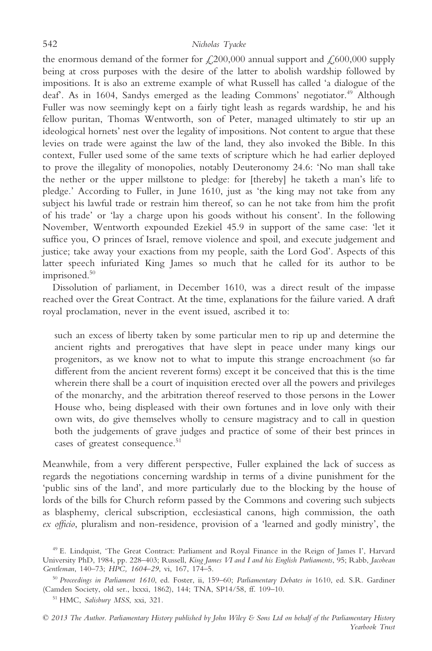the enormous demand of the former for  $\text{\textsterling}200,000$  annual support and  $\text{\textsterling}600,000$  supply being at cross purposes with the desire of the latter to abolish wardship followed by impositions. It is also an extreme example of what Russell has called 'a dialogue of the deaf'. As in 1604, Sandys emerged as the leading Commons' negotiator.<sup>49</sup> Although Fuller was now seemingly kept on a fairly tight leash as regards wardship, he and his fellow puritan, Thomas Wentworth, son of Peter, managed ultimately to stir up an ideological hornets' nest over the legality of impositions. Not content to argue that these levies on trade were against the law of the land, they also invoked the Bible. In this context, Fuller used some of the same texts of scripture which he had earlier deployed to prove the illegality of monopolies, notably Deuteronomy 24.6: 'No man shall take the nether or the upper millstone to pledge: for [thereby] he taketh a man's life to pledge.' According to Fuller, in June 1610, just as 'the king may not take from any subject his lawful trade or restrain him thereof, so can he not take from him the profit of his trade' or 'lay a charge upon his goods without his consent'. In the following November, Wentworth expounded Ezekiel 45.9 in support of the same case: 'let it suffice you, O princes of Israel, remove violence and spoil, and execute judgement and justice; take away your exactions from my people, saith the Lord God'. Aspects of this latter speech infuriated King James so much that he called for its author to be imprisoned.<sup>50</sup>

Dissolution of parliament, in December 1610, was a direct result of the impasse reached over the Great Contract. At the time, explanations for the failure varied. A draft royal proclamation, never in the event issued, ascribed it to:

such an excess of liberty taken by some particular men to rip up and determine the ancient rights and prerogatives that have slept in peace under many kings our progenitors, as we know not to what to impute this strange encroachment (so far different from the ancient reverent forms) except it be conceived that this is the time wherein there shall be a court of inquisition erected over all the powers and privileges of the monarchy, and the arbitration thereof reserved to those persons in the Lower House who, being displeased with their own fortunes and in love only with their own wits, do give themselves wholly to censure magistracy and to call in question both the judgements of grave judges and practice of some of their best princes in cases of greatest consequence.<sup>51</sup>

Meanwhile, from a very different perspective, Fuller explained the lack of success as regards the negotiations concerning wardship in terms of a divine punishment for the 'public sins of the land', and more particularly due to the blocking by the house of lords of the bills for Church reform passed by the Commons and covering such subjects as blasphemy, clerical subscription, ecclesiastical canons, high commission, the oath *ex officio*, pluralism and non-residence, provision of a 'learned and godly ministry', the

<sup>49</sup> E. Lindquist, 'The Great Contract: Parliament and Royal Finance in the Reign of James I', Harvard University PhD, 1984, pp. 228–403; Russell, *King James VI and I and his English Parliaments*, 95; Rabb, *Jacobean Gentleman*, 140–73; *HPC, 1604–29*, vi, 167, 174–5.

<sup>50</sup> *Proceedings in Parliament 1610*, ed. Foster, ii, 159–60; *Parliamentary Debates in* 1610, ed. S.R. Gardiner (Camden Society, old ser., lxxxi, 1862), 144; TNA, SP14/58, ff. 109–10.

<sup>51</sup> HMC, *Salisbury MSS*, xxi, 321*.*

*<sup>© 2013</sup> The Author. Parliamentary History published by John Wiley & Sons Ltd on behalf of the Parliamentary History Yearbook Trust*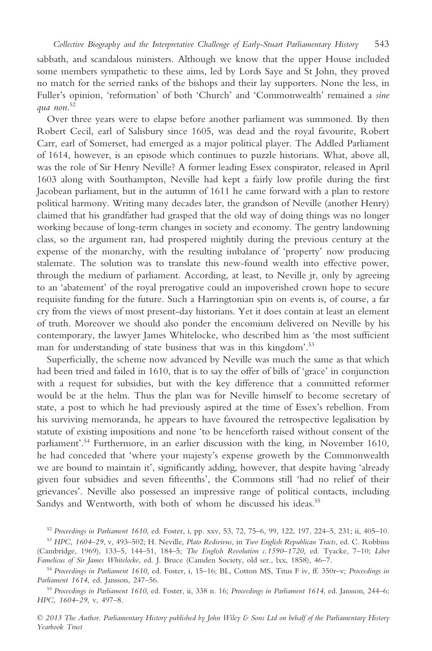sabbath, and scandalous ministers. Although we know that the upper House included some members sympathetic to these aims, led by Lords Saye and St John, they proved no match for the serried ranks of the bishops and their lay supporters. None the less, in Fuller's opinion, 'reformation' of both 'Church' and 'Commonwealth' remained a *sine qua non*. 52

Over three years were to elapse before another parliament was summoned. By then Robert Cecil, earl of Salisbury since 1605, was dead and the royal favourite, Robert Carr, earl of Somerset, had emerged as a major political player. The Addled Parliament of 1614, however, is an episode which continues to puzzle historians. What, above all, was the role of Sir Henry Neville? A former leading Essex conspirator, released in April 1603 along with Southampton, Neville had kept a fairly low profile during the first Jacobean parliament, but in the autumn of 1611 he came forward with a plan to restore political harmony. Writing many decades later, the grandson of Neville (another Henry) claimed that his grandfather had grasped that the old way of doing things was no longer working because of long-term changes in society and economy. The gentry landowning class, so the argument ran, had prospered mightily during the previous century at the expense of the monarchy, with the resulting imbalance of 'property' now producing stalemate. The solution was to translate this new-found wealth into effective power, through the medium of parliament. According, at least, to Neville jr, only by agreeing to an 'abatement' of the royal prerogative could an impoverished crown hope to secure requisite funding for the future. Such a Harringtonian spin on events is, of course, a far cry from the views of most present-day historians. Yet it does contain at least an element of truth. Moreover we should also ponder the encomium delivered on Neville by his contemporary, the lawyer James Whitelocke, who described him as 'the most sufficient man for understanding of state business that was in this kingdom'.<sup>53</sup>

Superficially, the scheme now advanced by Neville was much the same as that which had been tried and failed in 1610, that is to say the offer of bills of 'grace' in conjunction with a request for subsidies, but with the key difference that a committed reformer would be at the helm. Thus the plan was for Neville himself to become secretary of state, a post to which he had previously aspired at the time of Essex's rebellion. From his surviving memoranda, he appears to have favoured the retrospective legalisation by statute of existing impositions and none 'to be henceforth raised without consent of the parliament'.54 Furthermore, in an earlier discussion with the king, in November 1610, he had conceded that 'where your majesty's expense groweth by the Commonwealth we are bound to maintain it', significantly adding, however, that despite having 'already given four subsidies and seven fifteenths', the Commons still 'had no relief of their grievances'. Neville also possessed an impressive range of political contacts, including Sandys and Wentworth, with both of whom he discussed his ideas.<sup>55</sup>

<sup>52</sup> *Proceedings in Parliament 1610*, ed. Foster, i, pp. xxv, 53, 72, 75–6, 99, 122, 197, 224–5, 231; ii, 405–10. <sup>53</sup> *HPC, 1604–29*, v, 493–502; H. Neville, *Plato Redivivus*, in *Two English Republican Tracts*, ed. C. Robbins (Cambridge, 1969), 133–5, 144–51, 184–5; *The English Revolution c.1590–1720*, ed. Tyacke, 7–10; *Liber Famelicus of Sir James Whitelocke*, ed. J. Bruce (Camden Society, old ser., lxx, 1858), 46–7.

<sup>54</sup> *Proceedings in Parliament 1610*, ed. Foster, i, 15–16; BL, Cotton MS, Titus F iv, ff. 350r–v; *Proceedings in Parliament 1614*, ed. Jansson, 247–56.

<sup>55</sup> *Proceedings in Parliament 1610*, ed. Foster, ii, 338 n. 16; *Proceedings in Parliament 1614*, ed. Jansson, 244–6; *HPC, 1604–29*, v, 497–8.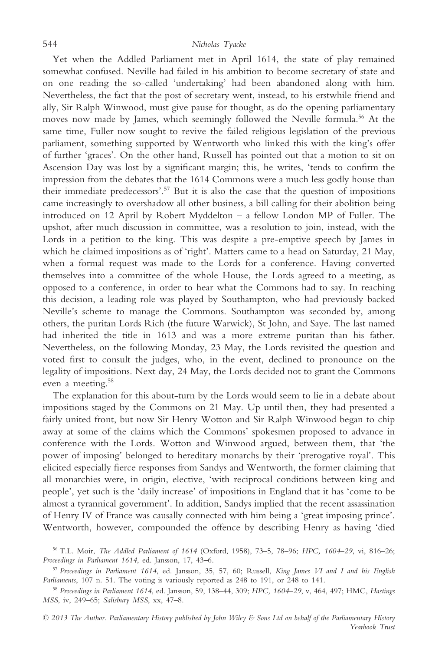Yet when the Addled Parliament met in April 1614, the state of play remained somewhat confused. Neville had failed in his ambition to become secretary of state and on one reading the so-called 'undertaking' had been abandoned along with him. Nevertheless, the fact that the post of secretary went, instead, to his erstwhile friend and ally, Sir Ralph Winwood, must give pause for thought, as do the opening parliamentary moves now made by James, which seemingly followed the Neville formula.<sup>56</sup> At the same time, Fuller now sought to revive the failed religious legislation of the previous parliament, something supported by Wentworth who linked this with the king's offer of further 'graces'. On the other hand, Russell has pointed out that a motion to sit on Ascension Day was lost by a significant margin; this, he writes, 'tends to confirm the impression from the debates that the 1614 Commons were a much less godly house than their immediate predecessors'.<sup>57</sup> But it is also the case that the question of impositions came increasingly to overshadow all other business, a bill calling for their abolition being introduced on 12 April by Robert Myddelton – a fellow London MP of Fuller. The upshot, after much discussion in committee, was a resolution to join, instead, with the Lords in a petition to the king. This was despite a pre-emptive speech by James in which he claimed impositions as of 'right'. Matters came to a head on Saturday, 21 May, when a formal request was made to the Lords for a conference. Having converted themselves into a committee of the whole House, the Lords agreed to a meeting, as opposed to a conference, in order to hear what the Commons had to say. In reaching this decision, a leading role was played by Southampton, who had previously backed Neville's scheme to manage the Commons. Southampton was seconded by, among others, the puritan Lords Rich (the future Warwick), St John, and Saye. The last named had inherited the title in 1613 and was a more extreme puritan than his father. Nevertheless, on the following Monday, 23 May, the Lords revisited the question and voted first to consult the judges, who, in the event, declined to pronounce on the legality of impositions. Next day, 24 May, the Lords decided not to grant the Commons even a meeting.<sup>58</sup>

The explanation for this about-turn by the Lords would seem to lie in a debate about impositions staged by the Commons on 21 May. Up until then, they had presented a fairly united front, but now Sir Henry Wotton and Sir Ralph Winwood began to chip away at some of the claims which the Commons' spokesmen proposed to advance in conference with the Lords. Wotton and Winwood argued, between them, that 'the power of imposing' belonged to hereditary monarchs by their 'prerogative royal'. This elicited especially fierce responses from Sandys and Wentworth, the former claiming that all monarchies were, in origin, elective, 'with reciprocal conditions between king and people', yet such is the 'daily increase' of impositions in England that it has 'come to be almost a tyrannical government'. In addition, Sandys implied that the recent assassination of Henry IV of France was causally connected with him being a 'great imposing prince'. Wentworth, however, compounded the offence by describing Henry as having 'died

<sup>56</sup> T.L. Moir, *The Addled Parliament of 1614* (Oxford, 1958), 73–5, 78–96; *HPC, 1604–29*, vi, 816–26; *Proceedings in Parliament 1614*, ed. Jansson, 17, 43–6.

<sup>57</sup> *Proceedings in Parliament 1614*, ed. Jansson, 35, 57, 60; Russell, *King James VI and I and his English Parliaments*, 107 n. 51. The voting is variously reported as 248 to 191, or 248 to 141.

<sup>58</sup> *Proceedings in Parliament 1614*, ed. Jansson, 59, 138–44, 309; *HPC, 1604–29*, v, 464, 497; HMC, *Hastings MSS*, iv, 249–65; *Salisbury MSS*, xx, 47–8.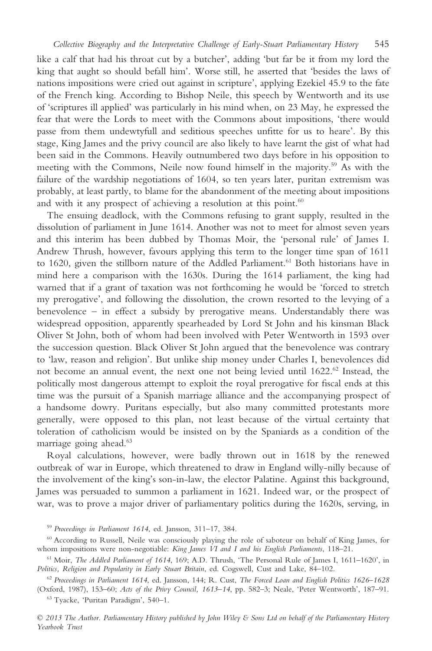like a calf that had his throat cut by a butcher', adding 'but far be it from my lord the king that aught so should befall him'. Worse still, he asserted that 'besides the laws of nations impositions were cried out against in scripture', applying Ezekiel 45.9 to the fate of the French king. According to Bishop Neile, this speech by Wentworth and its use of 'scriptures ill applied' was particularly in his mind when, on 23 May, he expressed the fear that were the Lords to meet with the Commons about impositions, 'there would passe from them undewtyfull and seditious speeches unfitte for us to heare'. By this stage, King James and the privy council are also likely to have learnt the gist of what had been said in the Commons. Heavily outnumbered two days before in his opposition to meeting with the Commons, Neile now found himself in the majority.59 As with the failure of the wardship negotiations of 1604, so ten years later, puritan extremism was probably, at least partly, to blame for the abandonment of the meeting about impositions and with it any prospect of achieving a resolution at this point. $60$ 

The ensuing deadlock, with the Commons refusing to grant supply, resulted in the dissolution of parliament in June 1614. Another was not to meet for almost seven years and this interim has been dubbed by Thomas Moir, the 'personal rule' of James I. Andrew Thrush, however, favours applying this term to the longer time span of 1611 to 1620, given the stillborn nature of the Addled Parliament.<sup>61</sup> Both historians have in mind here a comparison with the 1630s. During the 1614 parliament, the king had warned that if a grant of taxation was not forthcoming he would be 'forced to stretch my prerogative', and following the dissolution, the crown resorted to the levying of a benevolence – in effect a subsidy by prerogative means. Understandably there was widespread opposition, apparently spearheaded by Lord St John and his kinsman Black Oliver St John, both of whom had been involved with Peter Wentworth in 1593 over the succession question. Black Oliver St John argued that the benevolence was contrary to 'law, reason and religion'. But unlike ship money under Charles I, benevolences did not become an annual event, the next one not being levied until 1622.<sup>62</sup> Instead, the politically most dangerous attempt to exploit the royal prerogative for fiscal ends at this time was the pursuit of a Spanish marriage alliance and the accompanying prospect of a handsome dowry. Puritans especially, but also many committed protestants more generally, were opposed to this plan, not least because of the virtual certainty that toleration of catholicism would be insisted on by the Spaniards as a condition of the marriage going ahead.<sup>63</sup>

Royal calculations, however, were badly thrown out in 1618 by the renewed outbreak of war in Europe, which threatened to draw in England willy-nilly because of the involvement of the king's son-in-law, the elector Palatine. Against this background, James was persuaded to summon a parliament in 1621. Indeed war, or the prospect of war, was to prove a major driver of parliamentary politics during the 1620s, serving, in

<sup>62</sup> *Proceedings in Parliament 1614*, ed. Jansson, 144; R. Cust, *The Forced Loan and English Politics 1626–1628* (Oxford, 1987), 153–60; *Acts of the Privy Council, 1613–14*, pp. 582–3; Neale, 'Peter Wentworth', 187–91.

<sup>63</sup> Tyacke, 'Puritan Paradigm', 540–1.

<sup>59</sup> *Proceedings in Parliament 1614*, ed. Jansson, 311–17, 384.

<sup>&</sup>lt;sup>60</sup> According to Russell, Neile was consciously playing the role of saboteur on behalf of King James, for whom impositions were non-negotiable: *King James VI and I and his English Parliaments*, 118–21.

<sup>61</sup> Moir, *The Addled Parliament of 1614*, 169; A.D. Thrush, 'The Personal Rule of James I, 1611–1620', in *Politics, Religion and Popularity in Early Stuart Britain*, ed. Cogswell, Cust and Lake, 84–102.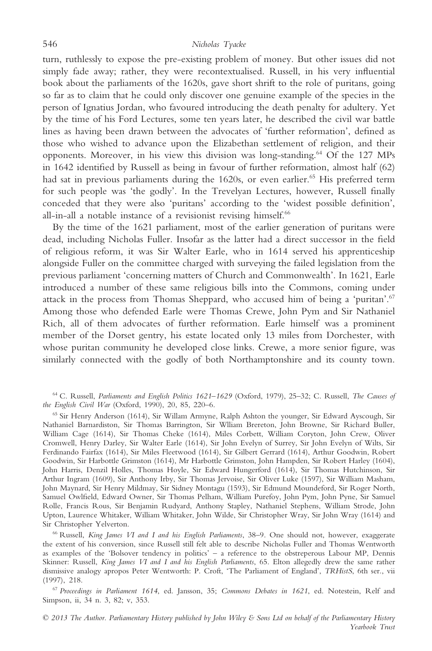turn, ruthlessly to expose the pre-existing problem of money. But other issues did not simply fade away; rather, they were recontextualised. Russell, in his very influential book about the parliaments of the 1620s, gave short shrift to the role of puritans, going so far as to claim that he could only discover one genuine example of the species in the person of Ignatius Jordan, who favoured introducing the death penalty for adultery. Yet by the time of his Ford Lectures, some ten years later, he described the civil war battle lines as having been drawn between the advocates of 'further reformation', defined as those who wished to advance upon the Elizabethan settlement of religion, and their opponents. Moreover, in his view this division was long-standing.<sup>64</sup> Of the 127 MPs in 1642 identified by Russell as being in favour of further reformation, almost half (62) had sat in previous parliaments during the 1620s, or even earlier.<sup>65</sup> His preferred term for such people was 'the godly'. In the Trevelyan Lectures, however, Russell finally conceded that they were also 'puritans' according to the 'widest possible definition', all-in-all a notable instance of a revisionist revising himself.<sup>66</sup>

By the time of the 1621 parliament, most of the earlier generation of puritans were dead, including Nicholas Fuller. Insofar as the latter had a direct successor in the field of religious reform, it was Sir Walter Earle, who in 1614 served his apprenticeship alongside Fuller on the committee charged with surveying the failed legislation from the previous parliament 'concerning matters of Church and Commonwealth'. In 1621, Earle introduced a number of these same religious bills into the Commons, coming under attack in the process from Thomas Sheppard, who accused him of being a 'puritan'.67 Among those who defended Earle were Thomas Crewe, John Pym and Sir Nathaniel Rich, all of them advocates of further reformation. Earle himself was a prominent member of the Dorset gentry, his estate located only 13 miles from Dorchester, with whose puritan community he developed close links. Crewe, a more senior figure, was similarly connected with the godly of both Northamptonshire and its county town.

<sup>64</sup> C. Russell, *Parliaments and English Politics 1621–1629* (Oxford, 1979), 25–32; C. Russell, *The Causes of the English Civil War* (Oxford, 1990), 20, 85, 220–6.

<sup>65</sup> Sir Henry Anderson (1614), Sir Willam Armyne, Ralph Ashton the younger, Sir Edward Ayscough, Sir Nathaniel Barnardiston, Sir Thomas Barrington, Sir Wlliam Brereton, John Browne, Sir Richard Buller, William Cage (1614), Sir Thomas Cheke (1614), Miles Corbett, William Coryton, John Crew, Oliver Cromwell, Henry Darley, Sir Walter Earle (1614), Sir John Evelyn of Surrey, Sir John Evelyn of Wilts, Sir Ferdinando Fairfax (1614), Sir Miles Fleetwood (1614), Sir Gilbert Gerrard (1614), Arthur Goodwin, Robert Goodwin, Sir Harbottle Grimston (1614), Mr Harbottle Grimston, John Hampden, Sir Robert Harley (1604), John Harris, Denzil Holles, Thomas Hoyle, Sir Edward Hungerford (1614), Sir Thomas Hutchinson, Sir Arthur Ingram (1609), Sir Anthony Irby, Sir Thomas Jervoise, Sir Oliver Luke (1597), Sir William Masham, John Maynard, Sir Henry Mildmay, Sir Sidney Montagu (1593), Sir Edmund Moundeford, Sir Roger North, Samuel Owlfield, Edward Owner, Sir Thomas Pelham, William Purefoy, John Pym, John Pyne, Sir Samuel Rolle, Francis Rous, Sir Benjamin Rudyard, Anthony Stapley, Nathaniel Stephens, William Strode, John Upton, Laurence Whitaker, William Whitaker, John Wilde, Sir Christopher Wray, Sir John Wray (1614) and Sir Christopher Yelverton.

<sup>66</sup> Russell, *King James VI and I and his English Parliaments*, 38–9. One should not, however, exaggerate the extent of his conversion, since Russell still felt able to describe Nicholas Fuller and Thomas Wentworth as examples of the 'Bolsover tendency in politics' – a reference to the obstreperous Labour MP, Dennis Skinner: Russell, *King James VI and I and his English Parliaments*, 65. Elton allegedly drew the same rather dismissive analogy apropos Peter Wentworth: P. Croft, 'The Parliament of England', *TRHistS*, 6th ser., vii (1997), 218.

<sup>67</sup> *Proceedings in Parliament 1614*, ed. Jansson, 35; *Commons Debates in 1621*, ed. Notestein, Relf and Simpson, ii, 34 n. 3, 82; v, 353.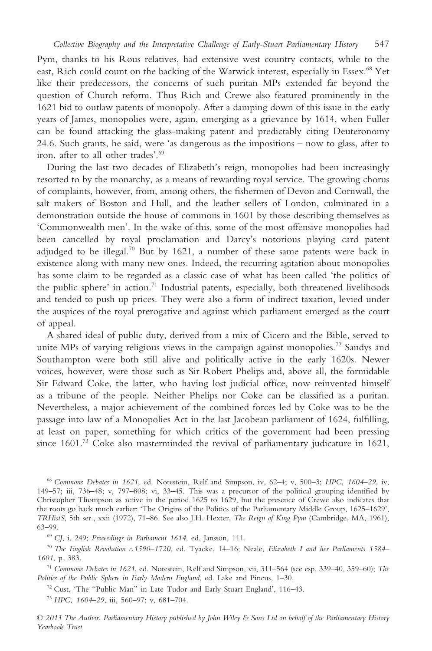Pym, thanks to his Rous relatives, had extensive west country contacts, while to the east, Rich could count on the backing of the Warwick interest, especially in Essex.<sup>68</sup> Yet like their predecessors, the concerns of such puritan MPs extended far beyond the question of Church reform. Thus Rich and Crewe also featured prominently in the 1621 bid to outlaw patents of monopoly. After a damping down of this issue in the early years of James, monopolies were, again, emerging as a grievance by 1614, when Fuller can be found attacking the glass-making patent and predictably citing Deuteronomy 24.6. Such grants, he said, were 'as dangerous as the impositions – now to glass, after to iron, after to all other trades'.<sup>69</sup>

During the last two decades of Elizabeth's reign, monopolies had been increasingly resorted to by the monarchy, as a means of rewarding royal service. The growing chorus of complaints, however, from, among others, the fishermen of Devon and Cornwall, the salt makers of Boston and Hull, and the leather sellers of London, culminated in a demonstration outside the house of commons in 1601 by those describing themselves as 'Commonwealth men'. In the wake of this, some of the most offensive monopolies had been cancelled by royal proclamation and Darcy's notorious playing card patent adjudged to be illegal.<sup>70</sup> But by 1621, a number of these same patents were back in existence along with many new ones. Indeed, the recurring agitation about monopolies has some claim to be regarded as a classic case of what has been called 'the politics of the public sphere' in action.<sup>71</sup> Industrial patents, especially, both threatened livelihoods and tended to push up prices. They were also a form of indirect taxation, levied under the auspices of the royal prerogative and against which parliament emerged as the court of appeal.

A shared ideal of public duty, derived from a mix of Cicero and the Bible, served to unite MPs of varying religious views in the campaign against monopolies.<sup>72</sup> Sandys and Southampton were both still alive and politically active in the early 1620s. Newer voices, however, were those such as Sir Robert Phelips and, above all, the formidable Sir Edward Coke, the latter, who having lost judicial office, now reinvented himself as a tribune of the people. Neither Phelips nor Coke can be classified as a puritan. Nevertheless, a major achievement of the combined forces led by Coke was to be the passage into law of a Monopolies Act in the last Jacobean parliament of 1624, fulfilling, at least on paper, something for which critics of the government had been pressing since 1601.<sup>73</sup> Coke also masterminded the revival of parliamentary judicature in 1621,

<sup>68</sup> *Commons Debates in 1621*, ed. Notestein, Relf and Simpson, iv, 62–4; v, 500–3; *HPC, 1604–29*, iv, 149–57; iii, 736–48; v, 797–808; vi, 33–45. This was a precursor of the political grouping identified by Christopher Thompson as active in the period 1625 to 1629, but the presence of Crewe also indicates that the roots go back much earlier: 'The Origins of the Politics of the Parliamentary Middle Group, 1625–1629', *TRHistS*, 5th ser., xxii (1972), 71–86. See also J.H. Hexter, *The Reign of King Pym* (Cambridge, MA, 1961), 63–99.

<sup>69</sup> *CJ*, i, 249; *Proceedings in Parliament 1614*, ed. Jansson, 111.

<sup>70</sup> *The English Revolution c.1590–1720*, ed. Tyacke, 14–16; Neale, *Elizabeth I and her Parliaments 1584– 1601*, p. 383.

<sup>71</sup> *Commons Debates in 1621*, ed. Notestein, Relf and Simpson, vii, 311–564 (see esp. 339–40, 359–60); *The Politics of the Public Sphere in Early Modern England*, ed. Lake and Pincus, 1–30.

<sup>72</sup> Cust, 'The "Public Man" in Late Tudor and Early Stuart England', 116–43.

<sup>73</sup> *HPC, 1604–29*, iii, 560–97; v, 681–704.

*<sup>© 2013</sup> The Author. Parliamentary History published by John Wiley & Sons Ltd on behalf of the Parliamentary History Yearbook Trust*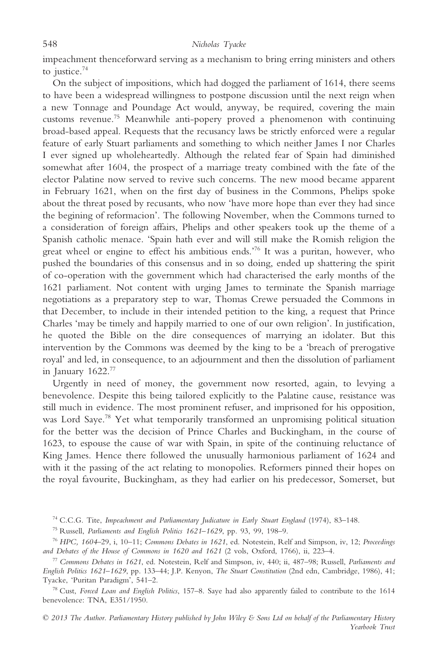impeachment thenceforward serving as a mechanism to bring erring ministers and others to justice.74

On the subject of impositions, which had dogged the parliament of 1614, there seems to have been a widespread willingness to postpone discussion until the next reign when a new Tonnage and Poundage Act would, anyway, be required, covering the main customs revenue.75 Meanwhile anti-popery proved a phenomenon with continuing broad-based appeal. Requests that the recusancy laws be strictly enforced were a regular feature of early Stuart parliaments and something to which neither James I nor Charles I ever signed up wholeheartedly. Although the related fear of Spain had diminished somewhat after 1604, the prospect of a marriage treaty combined with the fate of the elector Palatine now served to revive such concerns. The new mood became apparent in February 1621, when on the first day of business in the Commons, Phelips spoke about the threat posed by recusants, who now 'have more hope than ever they had since the begining of reformacion'. The following November, when the Commons turned to a consideration of foreign affairs, Phelips and other speakers took up the theme of a Spanish catholic menace. 'Spain hath ever and will still make the Romish religion the great wheel or engine to effect his ambitious ends.<sup>76</sup> It was a puritan, however, who pushed the boundaries of this consensus and in so doing, ended up shattering the spirit of co-operation with the government which had characterised the early months of the 1621 parliament. Not content with urging James to terminate the Spanish marriage negotiations as a preparatory step to war, Thomas Crewe persuaded the Commons in that December, to include in their intended petition to the king, a request that Prince Charles 'may be timely and happily married to one of our own religion'. In justification, he quoted the Bible on the dire consequences of marrying an idolater. But this intervention by the Commons was deemed by the king to be a 'breach of prerogative royal' and led, in consequence, to an adjournment and then the dissolution of parliament in January 1622.77

Urgently in need of money, the government now resorted, again, to levying a benevolence. Despite this being tailored explicitly to the Palatine cause, resistance was still much in evidence. The most prominent refuser, and imprisoned for his opposition, was Lord Saye.78 Yet what temporarily transformed an unpromising political situation for the better was the decision of Prince Charles and Buckingham, in the course of 1623, to espouse the cause of war with Spain, in spite of the continuing reluctance of King James. Hence there followed the unusually harmonious parliament of 1624 and with it the passing of the act relating to monopolies. Reformers pinned their hopes on the royal favourite, Buckingham, as they had earlier on his predecessor, Somerset, but

<sup>74</sup> C.C.G. Tite, *Impeachment and Parliamentary Judicature in Early Stuart England* (1974), 83–148.

<sup>75</sup> Russell, *Parliaments and English Politics 1621–1629*, pp. 93, 99, 198–9.

<sup>76</sup> *HPC, 1604–*29, i, 10–11; *Commons Debates in 1621*, ed. Notestein, Relf and Simpson, iv, 12; *Proceedings and Debates of the House of Commons in 1620 and 1621* (2 vols, Oxford, 1766), ii, 223–4.

<sup>77</sup> *Commons Debates in 1621*, ed. Notestein, Relf and Simpson, iv, 440; ii, 487–98; Russell, *Parliaments and English Politics 1621–1629*, pp. 133–44; J.P. Kenyon, *The Stuart Constitution* (2nd edn, Cambridge, 1986), 41; Tyacke, 'Puritan Paradigm', 541–2.

<sup>78</sup> Cust, *Forced Loan and English Politics*, 157–8. Saye had also apparently failed to contribute to the 1614 benevolence: TNA, E351/1950.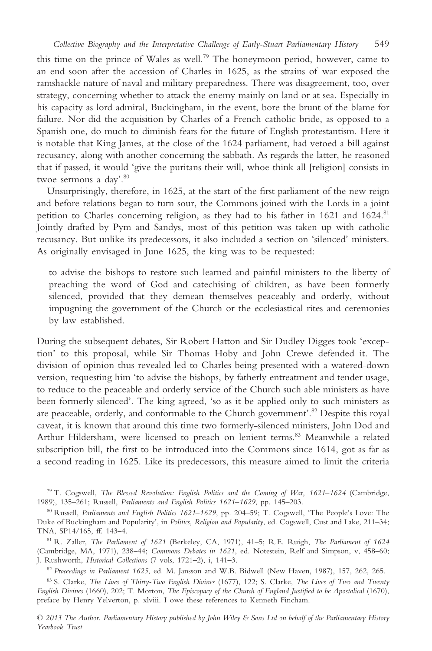this time on the prince of Wales as well.<sup>79</sup> The honeymoon period, however, came to an end soon after the accession of Charles in 1625, as the strains of war exposed the ramshackle nature of naval and military preparedness. There was disagreement, too, over strategy, concerning whether to attack the enemy mainly on land or at sea. Especially in his capacity as lord admiral, Buckingham, in the event, bore the brunt of the blame for failure. Nor did the acquisition by Charles of a French catholic bride, as opposed to a Spanish one, do much to diminish fears for the future of English protestantism. Here it is notable that King James, at the close of the 1624 parliament, had vetoed a bill against recusancy, along with another concerning the sabbath. As regards the latter, he reasoned that if passed, it would 'give the puritans their will, whoe think all [religion] consists in twoe sermons a day'.<sup>80</sup>

Unsurprisingly, therefore, in 1625, at the start of the first parliament of the new reign and before relations began to turn sour, the Commons joined with the Lords in a joint petition to Charles concerning religion, as they had to his father in 1621 and 1624.<sup>81</sup> Jointly drafted by Pym and Sandys, most of this petition was taken up with catholic recusancy. But unlike its predecessors, it also included a section on 'silenced' ministers. As originally envisaged in June 1625, the king was to be requested:

to advise the bishops to restore such learned and painful ministers to the liberty of preaching the word of God and catechising of children, as have been formerly silenced, provided that they demean themselves peaceably and orderly, without impugning the government of the Church or the ecclesiastical rites and ceremonies by law established.

During the subsequent debates, Sir Robert Hatton and Sir Dudley Digges took 'exception' to this proposal, while Sir Thomas Hoby and John Crewe defended it. The division of opinion thus revealed led to Charles being presented with a watered-down version, requesting him 'to advise the bishops, by fatherly entreatment and tender usage, to reduce to the peaceable and orderly service of the Church such able ministers as have been formerly silenced'. The king agreed, 'so as it be applied only to such ministers as are peaceable, orderly, and conformable to the Church government'. $82$  Despite this royal caveat, it is known that around this time two formerly-silenced ministers, John Dod and Arthur Hildersham, were licensed to preach on lenient terms.<sup>83</sup> Meanwhile a related subscription bill, the first to be introduced into the Commons since 1614, got as far as a second reading in 1625. Like its predecessors, this measure aimed to limit the criteria

<sup>79</sup> T. Cogswell, *The Blessed Revolution: English Politics and the Coming of War, 1621–1624* (Cambridge, 1989), 135–261; Russell, *Parliaments and English Politics 1621–1629*, pp. 145–203.

<sup>81</sup> R. Zaller, *The Parliament of 1621* (Berkeley, CA, 1971), 41–5; R.E. Ruigh, *The Parliament of 1624* (Cambridge, MA, 1971), 238–44; *Commons Debates in 1621*, ed. Notestein, Relf and Simpson, v, 458–60; J. Rushworth, *Historical Collections* (7 vols, 1721–2), i, 141–3.

<sup>82</sup> *Proceedings in Parliament 1625*, ed. M. Jansson and W.B. Bidwell (New Haven, 1987), 157, 262, 265.

<sup>83</sup> S. Clarke, *The Lives of Thirty-Two English Divines* (1677), 122; S. Clarke, *The Lives of Two and Twenty English Divines* (1660), 202; T. Morton, *The Episcopacy of the Church of England Justified to be Apostolical* (1670), preface by Henry Yelverton, p. xlviii. I owe these references to Kenneth Fincham.

<sup>80</sup> Russell, *Parliaments and English Politics 1621–1629*, pp. 204–59; T. Cogswell, 'The People's Love: The Duke of Buckingham and Popularity', in *Politics, Religion and Popularity*, ed. Cogswell, Cust and Lake, 211–34; TNA, SP14/165, ff. 143–4.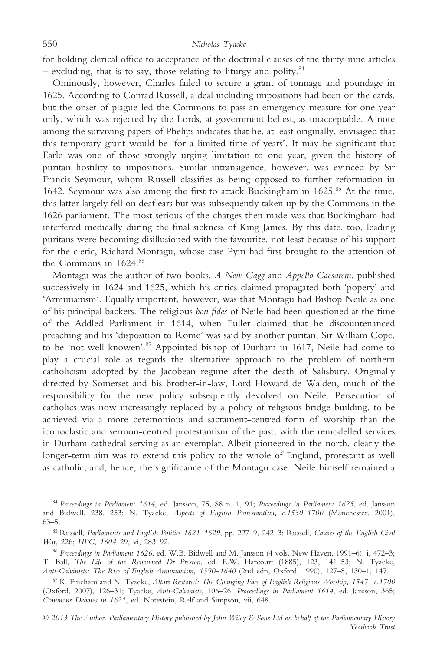for holding clerical office to acceptance of the doctrinal clauses of the thirty-nine articles  $-$  excluding, that is to say, those relating to liturgy and polity. $84$ 

Ominously, however, Charles failed to secure a grant of tonnage and poundage in 1625. According to Conrad Russell, a deal including impositions had been on the cards, but the onset of plague led the Commons to pass an emergency measure for one year only, which was rejected by the Lords, at government behest, as unacceptable. A note among the surviving papers of Phelips indicates that he, at least originally, envisaged that this temporary grant would be 'for a limited time of years'. It may be significant that Earle was one of those strongly urging limitation to one year, given the history of puritan hostility to impositions. Similar intransigence, however, was evinced by Sir Francis Seymour, whom Russell classifies as being opposed to further reformation in 1642. Seymour was also among the first to attack Buckingham in  $1625$ <sup>85</sup> At the time, this latter largely fell on deaf ears but was subsequently taken up by the Commons in the 1626 parliament. The most serious of the charges then made was that Buckingham had interfered medically during the final sickness of King James. By this date, too, leading puritans were becoming disillusioned with the favourite, not least because of his support for the cleric, Richard Montagu, whose case Pym had first brought to the attention of the Commons in 1624.<sup>86</sup>

Montagu was the author of two books, *A New Gagg* and *Appello Caesarem*, published successively in 1624 and 1625, which his critics claimed propagated both 'popery' and 'Arminianism'. Equally important, however, was that Montagu had Bishop Neile as one of his principal backers. The religious *bon fides* of Neile had been questioned at the time of the Addled Parliament in 1614, when Fuller claimed that he discountenanced preaching and his 'disposition to Rome' was said by another puritan, Sir William Cope, to be 'not well knowen'.<sup>87</sup> Appointed bishop of Durham in 1617, Neile had come to play a crucial role as regards the alternative approach to the problem of northern catholicism adopted by the Jacobean regime after the death of Salisbury. Originally directed by Somerset and his brother-in-law, Lord Howard de Walden, much of the responsibility for the new policy subsequently devolved on Neile. Persecution of catholics was now increasingly replaced by a policy of religious bridge-building, to be achieved via a more ceremonious and sacrament-centred form of worship than the iconoclastic and sermon-centred protestantism of the past, with the remodelled services in Durham cathedral serving as an exemplar. Albeit pioneered in the north, clearly the longer-term aim was to extend this policy to the whole of England, protestant as well as catholic, and, hence, the significance of the Montagu case. Neile himself remained a

<sup>87</sup> K. Fincham and N. Tyacke, *Altars Restored: The Changing Face of English Religious Worship, 1547– c.1700* (Oxford, 2007), 126–31; Tyacke, *Anti-Calvinists*, 106–26; *Proceedings in Parliament 1614*, ed. Jansson, 365; *Commons Debates in 1621*, ed. Notestein, Relf and Simpson, vii, 648.

<sup>84</sup> *Proceedings in Parliament 1614*, ed. Jansson, 75, 88 n. 1, 91; *Proceedings in Parliament 1625*, ed. Jansson and Bidwell, 238, 253; N. Tyacke, *Aspects of English Protestantism, c.1530–1700* (Manchester, 2001), 63–5.

<sup>85</sup> Russell, *Parliaments and English Politics 1621–1629*, pp. 227–9, 242–3; Russell, *Causes of the English Civil War*, 226; *HPC, 1604–*29, vi, 283–92.

<sup>86</sup> *Proceedings in Parliament 1626*, ed. W.B. Bidwell and M. Jansson (4 vols, New Haven, 1991–6), i, 472–3; T. Ball, *The Life of the Renowned Dr Preston*, ed. E.W. Harcourt (1885), 123, 141–53; N. Tyacke, *Anti-Calvinists: The Rise of English Arminianism, 1590–1640* (2nd edn, Oxford, 1990), 127–8, 130–1, 147.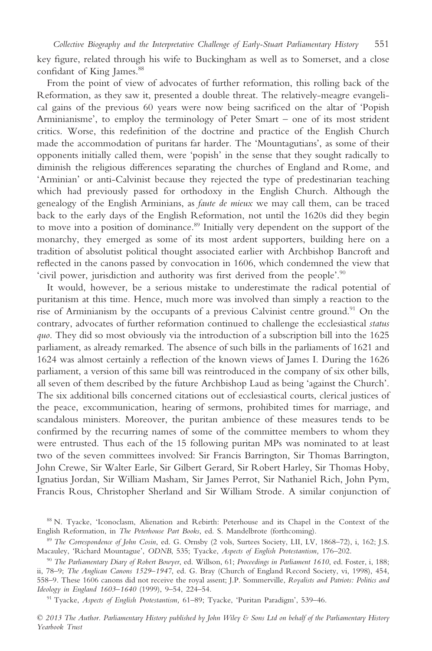key figure, related through his wife to Buckingham as well as to Somerset, and a close confidant of King James.<sup>88</sup>

From the point of view of advocates of further reformation, this rolling back of the Reformation, as they saw it, presented a double threat. The relatively-meagre evangelical gains of the previous 60 years were now being sacrificed on the altar of 'Popish Arminianisme', to employ the terminology of Peter Smart – one of its most strident critics. Worse, this redefinition of the doctrine and practice of the English Church made the accommodation of puritans far harder. The 'Mountagutians', as some of their opponents initially called them, were 'popish' in the sense that they sought radically to diminish the religious differences separating the churches of England and Rome, and 'Arminian' or anti-Calvinist because they rejected the type of predestinarian teaching which had previously passed for orthodoxy in the English Church. Although the genealogy of the English Arminians, as *faute de mieux* we may call them, can be traced back to the early days of the English Reformation, not until the 1620s did they begin to move into a position of dominance.89 Initially very dependent on the support of the monarchy, they emerged as some of its most ardent supporters, building here on a tradition of absolutist political thought associated earlier with Archbishop Bancroft and reflected in the canons passed by convocation in 1606, which condemned the view that 'civil power, jurisdiction and authority was first derived from the people'.<sup>90</sup>

It would, however, be a serious mistake to underestimate the radical potential of puritanism at this time. Hence, much more was involved than simply a reaction to the rise of Arminianism by the occupants of a previous Calvinist centre ground.<sup>91</sup> On the contrary, advocates of further reformation continued to challenge the ecclesiastical *status quo*. They did so most obviously via the introduction of a subscription bill into the 1625 parliament, as already remarked. The absence of such bills in the parliaments of 1621 and 1624 was almost certainly a reflection of the known views of James I. During the 1626 parliament, a version of this same bill was reintroduced in the company of six other bills, all seven of them described by the future Archbishop Laud as being 'against the Church'. The six additional bills concerned citations out of ecclesiastical courts, clerical justices of the peace, excommunication, hearing of sermons, prohibited times for marriage, and scandalous ministers. Moreover, the puritan ambience of these measures tends to be confirmed by the recurring names of some of the committee members to whom they were entrusted. Thus each of the 15 following puritan MPs was nominated to at least two of the seven committees involved: Sir Francis Barrington, Sir Thomas Barrington, John Crewe, Sir Walter Earle, Sir Gilbert Gerard, Sir Robert Harley, Sir Thomas Hoby, Ignatius Jordan, Sir William Masham, Sir James Perrot, Sir Nathaniel Rich, John Pym, Francis Rous, Christopher Sherland and Sir William Strode. A similar conjunction of

<sup>91</sup> Tyacke, *Aspects of English Protestantism,* 61–89; Tyacke, 'Puritan Paradigm', 539–46.

<sup>88</sup> N. Tyacke, 'Iconoclasm, Alienation and Rebirth: Peterhouse and its Chapel in the Context of the English Reformation, in *The Peterhouse Part Books*, ed. S. Mandelbrote (forthcoming).

<sup>89</sup> *The Correspondence of John Cosin*, ed. G. Ornsby (2 vols, Surtees Society, LII, LV, 1868–72), i, 162; J.S. Macauley, 'Richard Mountague', *ODNB*, 535; Tyacke, *Aspects of English Protestantism,* 176–202.

<sup>90</sup> *The Parliamentary Diary of Robert Bowyer*, ed. Willson, 61; *Proceedings in Parliament 1610*, ed. Foster, i, 188; ii, 78–9; *The Anglican Canons 1529–1947*, ed. G. Bray (Church of England Record Society, vi, 1998), 454, 558–9. These 1606 canons did not receive the royal assent; J.P. Sommerville, *Royalists and Patriots: Politics and Ideology in England 1603–1640* (1999), 9–54, 224–54.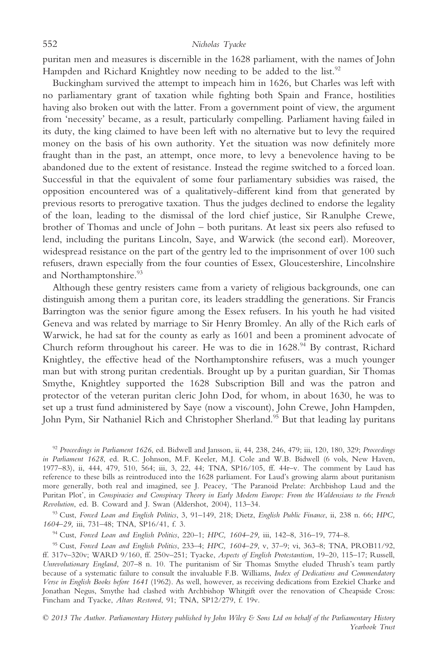puritan men and measures is discernible in the 1628 parliament, with the names of John Hampden and Richard Knightley now needing to be added to the list.<sup>92</sup>

Buckingham survived the attempt to impeach him in 1626, but Charles was left with no parliamentary grant of taxation while fighting both Spain and France, hostilities having also broken out with the latter. From a government point of view, the argument from 'necessity' became, as a result, particularly compelling. Parliament having failed in its duty, the king claimed to have been left with no alternative but to levy the required money on the basis of his own authority. Yet the situation was now definitely more fraught than in the past, an attempt, once more, to levy a benevolence having to be abandoned due to the extent of resistance. Instead the regime switched to a forced loan. Successful in that the equivalent of some four parliamentary subsidies was raised, the opposition encountered was of a qualitatively-different kind from that generated by previous resorts to prerogative taxation. Thus the judges declined to endorse the legality of the loan, leading to the dismissal of the lord chief justice, Sir Ranulphe Crewe, brother of Thomas and uncle of John – both puritans. At least six peers also refused to lend, including the puritans Lincoln, Saye, and Warwick (the second earl). Moreover, widespread resistance on the part of the gentry led to the imprisonment of over 100 such refusers, drawn especially from the four counties of Essex, Gloucestershire, Lincolnshire and Northamptonshire.<sup>93</sup>

Although these gentry resisters came from a variety of religious backgrounds, one can distinguish among them a puritan core, its leaders straddling the generations. Sir Francis Barrington was the senior figure among the Essex refusers. In his youth he had visited Geneva and was related by marriage to Sir Henry Bromley. An ally of the Rich earls of Warwick, he had sat for the county as early as 1601 and been a prominent advocate of Church reform throughout his career. He was to die in 1628.<sup>94</sup> By contrast, Richard Knightley, the effective head of the Northamptonshire refusers, was a much younger man but with strong puritan credentials. Brought up by a puritan guardian, Sir Thomas Smythe, Knightley supported the 1628 Subscription Bill and was the patron and protector of the veteran puritan cleric John Dod, for whom, in about 1630, he was to set up a trust fund administered by Saye (now a viscount), John Crewe, John Hampden, John Pym, Sir Nathaniel Rich and Christopher Sherland.95 But that leading lay puritans

<sup>92</sup> *Proceedings in Parliament 1626*, ed. Bidwell and Jansson, ii, 44, 238, 246, 479; iii, 120, 180, 329; *Proceedings in Parliament 1628*, ed. R.C. Johnson, M.F. Keeler, M.J. Cole and W.B. Bidwell (6 vols, New Haven, 1977–83), ii, 444, 479, 510, 564; iii, 3, 22, 44; TNA, SP16/105, ff. 44r–v. The comment by Laud has reference to these bills as reintroduced into the 1628 parliament. For Laud's growing alarm about puritanism more generally, both real and imagined, see J. Peacey, 'The Paranoid Prelate: Archbishop Laud and the Puritan Plot', in *Conspiracies and Conspiracy Theory in Early Modern Europe: From the Waldensians to the French Revolution*, ed. B. Coward and J. Swan (Aldershot, 2004), 113–34.

<sup>93</sup> Cust, *Forced Loan and English Politics*, 3, 91–149, 218; Dietz, *English Public Finance*, ii, 238 n. 66; *HPC, 1604–29,* iii, 731–48; TNA, SP16/41, f. 3.

<sup>94</sup> Cust, *Forced Loan and English Politics*, 220–1; *HPC, 1604–29,* iii, 142–8, 316–19, 774–8.

<sup>95</sup> Cust, *Forced Loan and English Politics*, 233–4; *HPC, 1604–29*, v, 37–9; vi, 363–8; TNA, PROB11/92, ff. 317v–320v; WARD 9/160, ff. 250v–251; Tyacke, *Aspects of English Protestantism*, 19–20, 115–17; Russell, *Unrevolutionary England*, 207–8 n. 10. The puritanism of Sir Thomas Smythe eluded Thrush's team partly because of a systematic failure to consult the invaluable F.B. Williams, *Index of Dedications and Commendatory Verse in English Books before 1641* (1962). As well, however, as receiving dedications from Ezekiel Charke and Jonathan Negus, Smythe had clashed with Archbishop Whitgift over the renovation of Cheapside Cross: Fincham and Tyacke, *Altars Restored*, 91; TNA, SP12/279, f. 19v.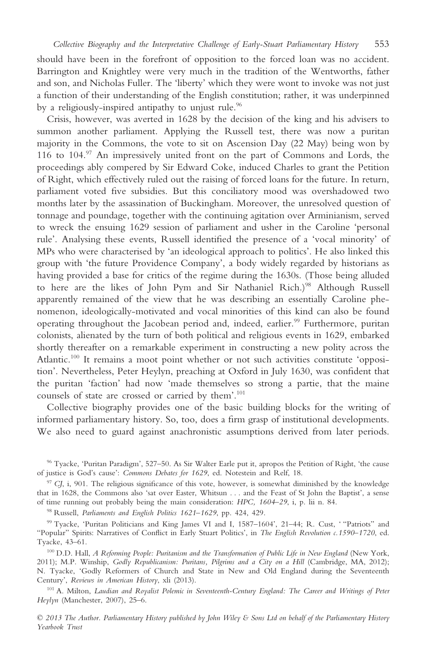should have been in the forefront of opposition to the forced loan was no accident. Barrington and Knightley were very much in the tradition of the Wentworths, father and son, and Nicholas Fuller. The 'liberty' which they were wont to invoke was not just a function of their understanding of the English constitution; rather, it was underpinned by a religiously-inspired antipathy to unjust rule.<sup>96</sup>

Crisis, however, was averted in 1628 by the decision of the king and his advisers to summon another parliament. Applying the Russell test, there was now a puritan majority in the Commons, the vote to sit on Ascension Day (22 May) being won by 116 to 104.<sup>97</sup> An impressively united front on the part of Commons and Lords, the proceedings ably compered by Sir Edward Coke, induced Charles to grant the Petition of Right, which effectively ruled out the raising of forced loans for the future. In return, parliament voted five subsidies. But this conciliatory mood was overshadowed two months later by the assassination of Buckingham. Moreover, the unresolved question of tonnage and poundage, together with the continuing agitation over Arminianism, served to wreck the ensuing 1629 session of parliament and usher in the Caroline 'personal rule'. Analysing these events, Russell identified the presence of a 'vocal minority' of MPs who were characterised by 'an ideological approach to politics'. He also linked this group with 'the future Providence Company', a body widely regarded by historians as having provided a base for critics of the regime during the 1630s. (Those being alluded to here are the likes of John Pym and Sir Nathaniel Rich.)<sup>98</sup> Although Russell apparently remained of the view that he was describing an essentially Caroline phenomenon, ideologically-motivated and vocal minorities of this kind can also be found operating throughout the Jacobean period and, indeed, earlier.<sup>99</sup> Furthermore, puritan colonists, alienated by the turn of both political and religious events in 1629, embarked shortly thereafter on a remarkable experiment in constructing a new polity across the Atlantic.100 It remains a moot point whether or not such activities constitute 'opposition'. Nevertheless, Peter Heylyn, preaching at Oxford in July 1630, was confident that the puritan 'faction' had now 'made themselves so strong a partie, that the maine counsels of state are crossed or carried by them'.<sup>101</sup>

Collective biography provides one of the basic building blocks for the writing of informed parliamentary history. So, too, does a firm grasp of institutional developments. We also need to guard against anachronistic assumptions derived from later periods.

<sup>98</sup> Russell, *Parliaments and English Politics 1621–1629*, pp. 424, 429.

<sup>96</sup> Tyacke, 'Puritan Paradigm', 527–50. As Sir Walter Earle put it, apropos the Petition of Right, 'the cause of justice is God's cause': *Commons Debates for 1629*, ed. Notestein and Relf, 18.

<sup>&</sup>lt;sup>97</sup> *CJ*, i, 901. The religious significance of this vote, however, is somewhat diminished by the knowledge that in 1628, the Commons also 'sat over Easter, Whitsun . . . and the Feast of St John the Baptist', a sense of time running out probably being the main consideration: *HPC, 1604–29*, i, p. lii n. 84.

<sup>99</sup> Tyacke, 'Puritan Politicians and King James VI and I, 1587–1604', 21–44; R. Cust, ' "Patriots" and "Popular" Spirits: Narratives of Conflict in Early Stuart Politics', in *The English Revolution c.1590–1720*, ed. Tyacke, 43–61.

<sup>100</sup> D.D. Hall, *A Reforming People: Puritanism and the Transformation of Public Life in New England* (New York, 2011); M.P. Winship, *Godly Republicanism: Puritans, Pilgrims and a City on a Hill* (Cambridge, MA, 2012); N. Tyacke, 'Godly Reformers of Church and State in New and Old England during the Seventeenth Century', *Reviews in American History*, xli (2013).

<sup>101</sup> A. Milton, *Laudian and Royalist Polemic in Seventeenth-Century England: The Career and Writings of Peter Heylyn* (Manchester, 2007), 25–6.